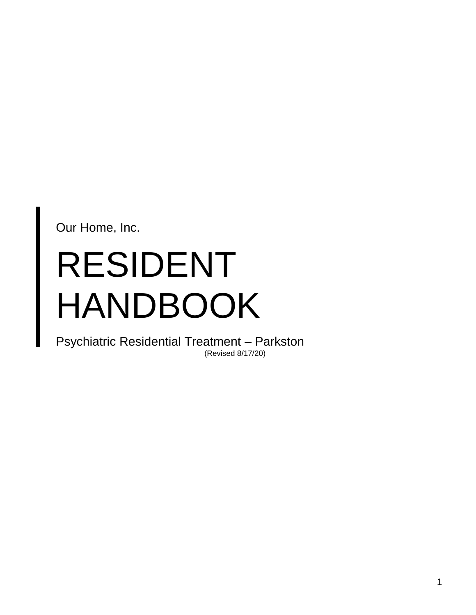Our Home, Inc.

# RESIDENT HANDBOOK

Psychiatric Residential Treatment – Parkston (Revised 8/17/20)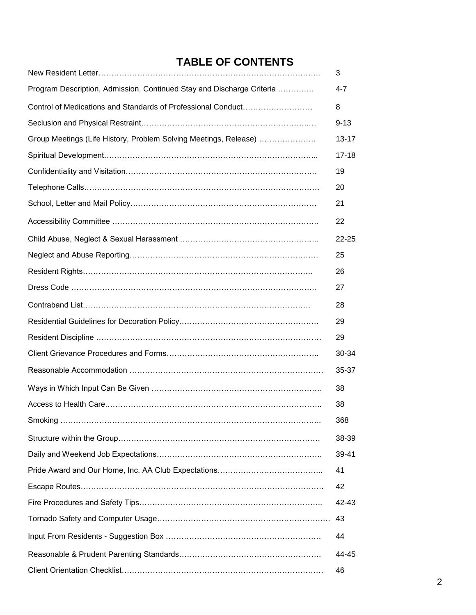# **TABLE OF CONTENTS**

|                                                                       | 3         |
|-----------------------------------------------------------------------|-----------|
| Program Description, Admission, Continued Stay and Discharge Criteria | $4 - 7$   |
| Control of Medications and Standards of Professional Conduct          | 8         |
|                                                                       | $9 - 13$  |
| Group Meetings (Life History, Problem Solving Meetings, Release)      | 13-17     |
|                                                                       | $17 - 18$ |
|                                                                       | 19        |
|                                                                       | 20        |
|                                                                       | 21        |
|                                                                       | 22        |
|                                                                       | $22 - 25$ |
|                                                                       | 25        |
|                                                                       | 26        |
|                                                                       | 27        |
|                                                                       | 28        |
|                                                                       | 29        |
|                                                                       | 29        |
|                                                                       | 30-34     |
|                                                                       | 35-37     |
|                                                                       | 38        |
|                                                                       | 38        |
|                                                                       | 368       |
|                                                                       | 38-39     |
|                                                                       | 39-41     |
|                                                                       | 41        |
|                                                                       | 42        |
|                                                                       | 42-43     |
|                                                                       | 43        |
|                                                                       | 44        |
|                                                                       | 44-45     |
|                                                                       | 46        |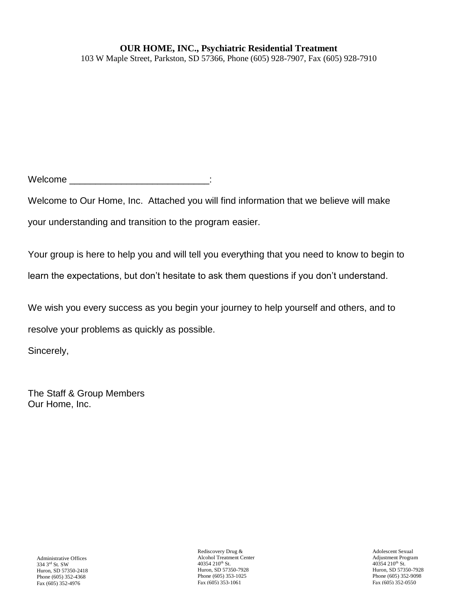# **OUR HOME, INC., Psychiatric Residential Treatment**

103 W Maple Street, Parkston, SD 57366, Phone (605) 928-7907, Fax (605) 928-7910

 $\blacksquare$   $\blacksquare$ 

Welcome to Our Home, Inc. Attached you will find information that we believe will make your understanding and transition to the program easier.

Your group is here to help you and will tell you everything that you need to know to begin to learn the expectations, but don't hesitate to ask them questions if you don't understand.

We wish you every success as you begin your journey to help yourself and others, and to

resolve your problems as quickly as possible.

Sincerely,

The Staff & Group Members Our Home, Inc.

Rediscovery Drug & Alcohol Treatment Center 40354 210th St. Huron, SD 57350-7928 Phone (605) 353-1025 Fax (605) 353-1061

Adolescent Sexual Adjustment Program 40354 210<sup>th</sup> St. Huron, SD 57350-7928 Phone (605) 352-9098 Fax (605) 352-0550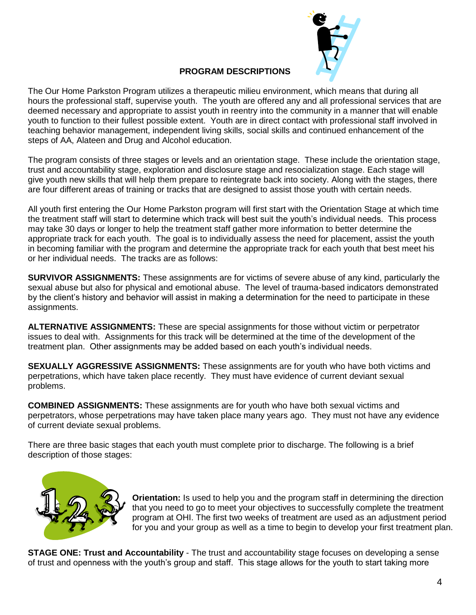

# **PROGRAM DESCRIPTIONS**

The Our Home Parkston Program utilizes a therapeutic milieu environment, which means that during all hours the professional staff, supervise youth. The youth are offered any and all professional services that are deemed necessary and appropriate to assist youth in reentry into the community in a manner that will enable youth to function to their fullest possible extent. Youth are in direct contact with professional staff involved in teaching behavior management, independent living skills, social skills and continued enhancement of the steps of AA, Alateen and Drug and Alcohol education.

The program consists of three stages or levels and an orientation stage. These include the orientation stage, trust and accountability stage, exploration and disclosure stage and resocialization stage. Each stage will give youth new skills that will help them prepare to reintegrate back into society. Along with the stages, there are four different areas of training or tracks that are designed to assist those youth with certain needs.

All youth first entering the Our Home Parkston program will first start with the Orientation Stage at which time the treatment staff will start to determine which track will best suit the youth's individual needs. This process may take 30 days or longer to help the treatment staff gather more information to better determine the appropriate track for each youth. The goal is to individually assess the need for placement, assist the youth in becoming familiar with the program and determine the appropriate track for each youth that best meet his or her individual needs. The tracks are as follows:

**SURVIVOR ASSIGNMENTS:** These assignments are for victims of severe abuse of any kind, particularly the sexual abuse but also for physical and emotional abuse. The level of trauma-based indicators demonstrated by the client's history and behavior will assist in making a determination for the need to participate in these assignments.

**ALTERNATIVE ASSIGNMENTS:** These are special assignments for those without victim or perpetrator issues to deal with. Assignments for this track will be determined at the time of the development of the treatment plan. Other assignments may be added based on each youth's individual needs.

**SEXUALLY AGGRESSIVE ASSIGNMENTS:** These assignments are for youth who have both victims and perpetrations, which have taken place recently. They must have evidence of current deviant sexual problems.

**COMBINED ASSIGNMENTS:** These assignments are for youth who have both sexual victims and perpetrators, whose perpetrations may have taken place many years ago. They must not have any evidence of current deviate sexual problems.

There are three basic stages that each youth must complete prior to discharge. The following is a brief description of those stages:



**Orientation:** Is used to help you and the program staff in determining the direction that you need to go to meet your objectives to successfully complete the treatment program at OHI. The first two weeks of treatment are used as an adjustment period for you and your group as well as a time to begin to develop your first treatment plan.

**STAGE ONE: Trust and Accountability** - The trust and accountability stage focuses on developing a sense of trust and openness with the youth's group and staff. This stage allows for the youth to start taking more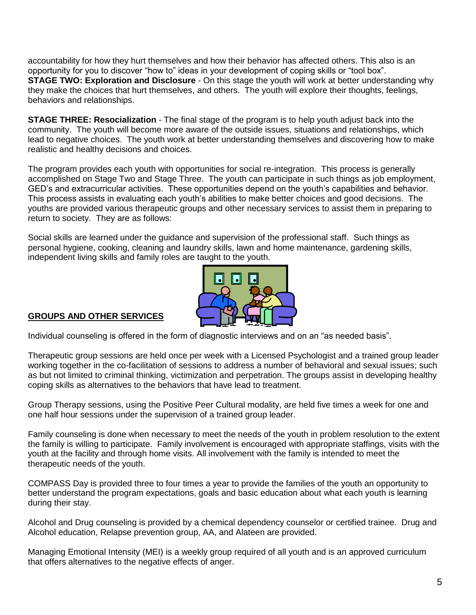accountability for how they hurt themselves and how their behavior has affected others. This also is an opportunity for you to discover "how to" ideas in your development of coping skills or "tool box". **STAGE TWO: Exploration and Disclosure** - On this stage the youth will work at better understanding why they make the choices that hurt themselves, and others. The youth will explore their thoughts, feelings, behaviors and relationships.

**STAGE THREE: Resocialization** - The final stage of the program is to help youth adjust back into the community. The youth will become more aware of the outside issues, situations and relationships, which lead to negative choices. The youth work at better understanding themselves and discovering how to make realistic and healthy decisions and choices.

The program provides each youth with opportunities for social re-integration. This process is generally accomplished on Stage Two and Stage Three. The youth can participate in such things as job employment, GED's and extracurricular activities. These opportunities depend on the youth's capabilities and behavior. This process assists in evaluating each youth's abilities to make better choices and good decisions. The youths are provided various therapeutic groups and other necessary services to assist them in preparing to return to society. They are as follows:

Social skills are learned under the guidance and supervision of the professional staff. Such things as personal hygiene, cooking, cleaning and laundry skills, lawn and home maintenance, gardening skills, independent living skills and family roles are taught to the youth.



# **GROUPS AND OTHER SERVICES**

Individual counseling is offered in the form of diagnostic interviews and on an "as needed basis".

Therapeutic group sessions are held once per week with a Licensed Psychologist and a trained group leader working together in the co-facilitation of sessions to address a number of behavioral and sexual issues; such as but not limited to criminal thinking, victimization and perpetration. The groups assist in developing healthy coping skills as alternatives to the behaviors that have lead to treatment.

Group Therapy sessions, using the Positive Peer Cultural modality, are held five times a week for one and one half hour sessions under the supervision of a trained group leader.

Family counseling is done when necessary to meet the needs of the youth in problem resolution to the extent the family is willing to participate. Family involvement is encouraged with appropriate staffings, visits with the youth at the facility and through home visits. All involvement with the family is intended to meet the therapeutic needs of the youth.

COMPASS Day is provided three to four times a year to provide the families of the youth an opportunity to better understand the program expectations, goals and basic education about what each youth is learning during their stay.

Alcohol and Drug counseling is provided by a chemical dependency counselor or certified trainee. Drug and Alcohol education, Relapse prevention group, AA, and Alateen are provided.

Managing Emotional Intensity (MEI) is a weekly group required of all youth and is an approved curriculum that offers alternatives to the negative effects of anger.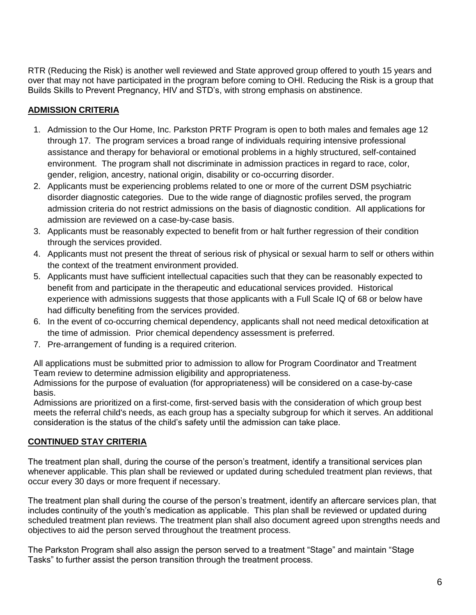RTR (Reducing the Risk) is another well reviewed and State approved group offered to youth 15 years and over that may not have participated in the program before coming to OHI. Reducing the Risk is a group that Builds Skills to Prevent Pregnancy, HIV and STD's, with strong emphasis on abstinence.

# **ADMISSION CRITERIA**

- 1. Admission to the Our Home, Inc. Parkston PRTF Program is open to both males and females age 12 through 17. The program services a broad range of individuals requiring intensive professional assistance and therapy for behavioral or emotional problems in a highly structured, self-contained environment. The program shall not discriminate in admission practices in regard to race, color, gender, religion, ancestry, national origin, disability or co-occurring disorder.
- 2. Applicants must be experiencing problems related to one or more of the current DSM psychiatric disorder diagnostic categories. Due to the wide range of diagnostic profiles served, the program admission criteria do not restrict admissions on the basis of diagnostic condition. All applications for admission are reviewed on a case-by-case basis.
- 3. Applicants must be reasonably expected to benefit from or halt further regression of their condition through the services provided.
- 4. Applicants must not present the threat of serious risk of physical or sexual harm to self or others within the context of the treatment environment provided.
- 5. Applicants must have sufficient intellectual capacities such that they can be reasonably expected to benefit from and participate in the therapeutic and educational services provided. Historical experience with admissions suggests that those applicants with a Full Scale IQ of 68 or below have had difficulty benefiting from the services provided.
- 6. In the event of co-occurring chemical dependency, applicants shall not need medical detoxification at the time of admission. Prior chemical dependency assessment is preferred.
- 7. Pre-arrangement of funding is a required criterion.

All applications must be submitted prior to admission to allow for Program Coordinator and Treatment Team review to determine admission eligibility and appropriateness.

Admissions for the purpose of evaluation (for appropriateness) will be considered on a case-by-case basis.

Admissions are prioritized on a first-come, first-served basis with the consideration of which group best meets the referral child's needs, as each group has a specialty subgroup for which it serves. An additional consideration is the status of the child's safety until the admission can take place.

# **CONTINUED STAY CRITERIA**

The treatment plan shall, during the course of the person's treatment, identify a transitional services plan whenever applicable. This plan shall be reviewed or updated during scheduled treatment plan reviews, that occur every 30 days or more frequent if necessary.

The treatment plan shall during the course of the person's treatment, identify an aftercare services plan, that includes continuity of the youth's medication as applicable. This plan shall be reviewed or updated during scheduled treatment plan reviews. The treatment plan shall also document agreed upon strengths needs and objectives to aid the person served throughout the treatment process.

The Parkston Program shall also assign the person served to a treatment "Stage" and maintain "Stage Tasks" to further assist the person transition through the treatment process.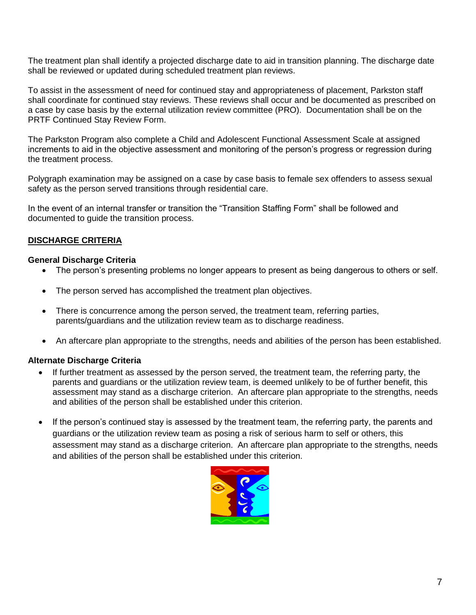The treatment plan shall identify a projected discharge date to aid in transition planning. The discharge date shall be reviewed or updated during scheduled treatment plan reviews.

To assist in the assessment of need for continued stay and appropriateness of placement, Parkston staff shall coordinate for continued stay reviews. These reviews shall occur and be documented as prescribed on a case by case basis by the external utilization review committee (PRO). Documentation shall be on the PRTF Continued Stay Review Form.

The Parkston Program also complete a Child and Adolescent Functional Assessment Scale at assigned increments to aid in the objective assessment and monitoring of the person's progress or regression during the treatment process.

Polygraph examination may be assigned on a case by case basis to female sex offenders to assess sexual safety as the person served transitions through residential care.

In the event of an internal transfer or transition the "Transition Staffing Form" shall be followed and documented to guide the transition process.

# **DISCHARGE CRITERIA**

#### **General Discharge Criteria**

- The person's presenting problems no longer appears to present as being dangerous to others or self.
- The person served has accomplished the treatment plan objectives.
- There is concurrence among the person served, the treatment team, referring parties, parents/guardians and the utilization review team as to discharge readiness.
- An aftercare plan appropriate to the strengths, needs and abilities of the person has been established.

#### **Alternate Discharge Criteria**

- If further treatment as assessed by the person served, the treatment team, the referring party, the parents and guardians or the utilization review team, is deemed unlikely to be of further benefit, this assessment may stand as a discharge criterion. An aftercare plan appropriate to the strengths, needs and abilities of the person shall be established under this criterion.
- If the person's continued stay is assessed by the treatment team, the referring party, the parents and guardians or the utilization review team as posing a risk of serious harm to self or others, this assessment may stand as a discharge criterion. An aftercare plan appropriate to the strengths, needs and abilities of the person shall be established under this criterion.

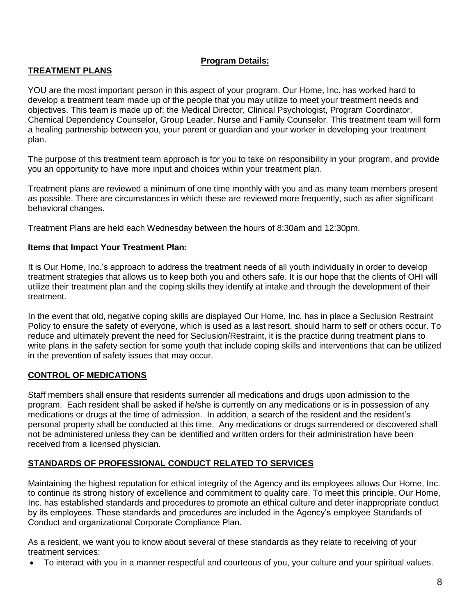# **Program Details:**

# **TREATMENT PLANS**

YOU are the most important person in this aspect of your program. Our Home, Inc. has worked hard to develop a treatment team made up of the people that you may utilize to meet your treatment needs and objectives. This team is made up of: the Medical Director, Clinical Psychologist, Program Coordinator, Chemical Dependency Counselor, Group Leader, Nurse and Family Counselor. This treatment team will form a healing partnership between you, your parent or guardian and your worker in developing your treatment plan.

The purpose of this treatment team approach is for you to take on responsibility in your program, and provide you an opportunity to have more input and choices within your treatment plan.

Treatment plans are reviewed a minimum of one time monthly with you and as many team members present as possible. There are circumstances in which these are reviewed more frequently, such as after significant behavioral changes.

Treatment Plans are held each Wednesday between the hours of 8:30am and 12:30pm.

#### **Items that Impact Your Treatment Plan:**

It is Our Home, Inc.'s approach to address the treatment needs of all youth individually in order to develop treatment strategies that allows us to keep both you and others safe. It is our hope that the clients of OHI will utilize their treatment plan and the coping skills they identify at intake and through the development of their treatment.

In the event that old, negative coping skills are displayed Our Home, Inc. has in place a Seclusion Restraint Policy to ensure the safety of everyone, which is used as a last resort, should harm to self or others occur. To reduce and ultimately prevent the need for Seclusion/Restraint, it is the practice during treatment plans to write plans in the safety section for some youth that include coping skills and interventions that can be utilized in the prevention of safety issues that may occur.

#### **CONTROL OF MEDICATIONS**

Staff members shall ensure that residents surrender all medications and drugs upon admission to the program. Each resident shall be asked if he/she is currently on any medications or is in possession of any medications or drugs at the time of admission. In addition, a search of the resident and the resident's personal property shall be conducted at this time. Any medications or drugs surrendered or discovered shall not be administered unless they can be identified and written orders for their administration have been received from a licensed physician.

#### **STANDARDS OF PROFESSIONAL CONDUCT RELATED TO SERVICES**

Maintaining the highest reputation for ethical integrity of the Agency and its employees allows Our Home, Inc. to continue its strong history of excellence and commitment to quality care. To meet this principle, Our Home, Inc. has established standards and procedures to promote an ethical culture and deter inappropriate conduct by its employees. These standards and procedures are included in the Agency's employee Standards of Conduct and organizational Corporate Compliance Plan.

As a resident, we want you to know about several of these standards as they relate to receiving of your treatment services:

To interact with you in a manner respectful and courteous of you, your culture and your spiritual values.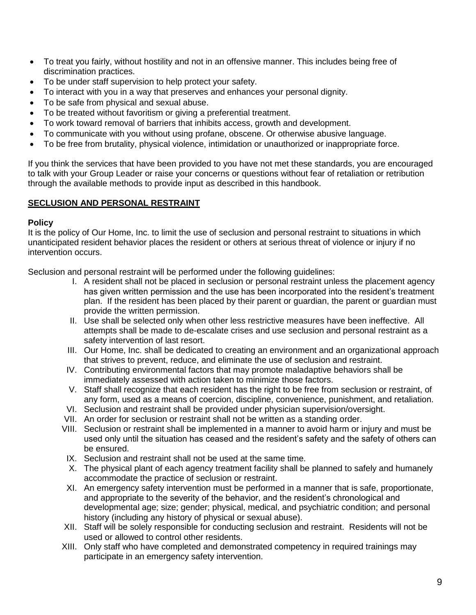- To treat you fairly, without hostility and not in an offensive manner. This includes being free of discrimination practices.
- To be under staff supervision to help protect your safety.
- To interact with you in a way that preserves and enhances your personal dignity.
- To be safe from physical and sexual abuse.
- To be treated without favoritism or giving a preferential treatment.
- To work toward removal of barriers that inhibits access, growth and development.
- To communicate with you without using profane, obscene. Or otherwise abusive language.
- To be free from brutality, physical violence, intimidation or unauthorized or inappropriate force.

If you think the services that have been provided to you have not met these standards, you are encouraged to talk with your Group Leader or raise your concerns or questions without fear of retaliation or retribution through the available methods to provide input as described in this handbook.

# **SECLUSION AND PERSONAL RESTRAINT**

#### **Policy**

It is the policy of Our Home, Inc. to limit the use of seclusion and personal restraint to situations in which unanticipated resident behavior places the resident or others at serious threat of violence or injury if no intervention occurs.

Seclusion and personal restraint will be performed under the following guidelines:

- I. A resident shall not be placed in seclusion or personal restraint unless the placement agency has given written permission and the use has been incorporated into the resident's treatment plan. If the resident has been placed by their parent or guardian, the parent or guardian must provide the written permission.
- II. Use shall be selected only when other less restrictive measures have been ineffective. All attempts shall be made to de-escalate crises and use seclusion and personal restraint as a safety intervention of last resort.
- III. Our Home, Inc. shall be dedicated to creating an environment and an organizational approach that strives to prevent, reduce, and eliminate the use of seclusion and restraint.
- IV. Contributing environmental factors that may promote maladaptive behaviors shall be immediately assessed with action taken to minimize those factors.
- V. Staff shall recognize that each resident has the right to be free from seclusion or restraint, of any form, used as a means of coercion, discipline, convenience, punishment, and retaliation.
- VI. Seclusion and restraint shall be provided under physician supervision/oversight.
- VII. An order for seclusion or restraint shall not be written as a standing order.
- VIII. Seclusion or restraint shall be implemented in a manner to avoid harm or injury and must be used only until the situation has ceased and the resident's safety and the safety of others can be ensured.
- IX. Seclusion and restraint shall not be used at the same time.
- X. The physical plant of each agency treatment facility shall be planned to safely and humanely accommodate the practice of seclusion or restraint.
- XI. An emergency safety intervention must be performed in a manner that is safe, proportionate, and appropriate to the severity of the behavior, and the resident's chronological and developmental age; size; gender; physical, medical, and psychiatric condition; and personal history (including any history of physical or sexual abuse).
- XII. Staff will be solely responsible for conducting seclusion and restraint. Residents will not be used or allowed to control other residents.
- XIII. Only staff who have completed and demonstrated competency in required trainings may participate in an emergency safety intervention.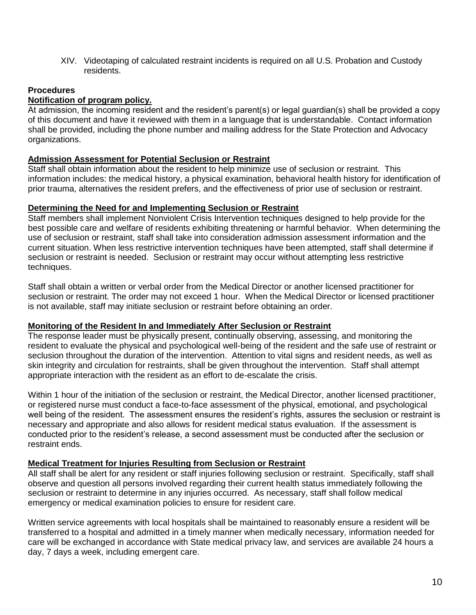XIV. Videotaping of calculated restraint incidents is required on all U.S. Probation and Custody residents.

# **Procedures**

# **Notification of program policy.**

At admission, the incoming resident and the resident's parent(s) or legal guardian(s) shall be provided a copy of this document and have it reviewed with them in a language that is understandable. Contact information shall be provided, including the phone number and mailing address for the State Protection and Advocacy organizations.

#### **Admission Assessment for Potential Seclusion or Restraint**

Staff shall obtain information about the resident to help minimize use of seclusion or restraint. This information includes: the medical history, a physical examination, behavioral health history for identification of prior trauma, alternatives the resident prefers, and the effectiveness of prior use of seclusion or restraint.

#### **Determining the Need for and Implementing Seclusion or Restraint**

Staff members shall implement Nonviolent Crisis Intervention techniques designed to help provide for the best possible care and welfare of residents exhibiting threatening or harmful behavior. When determining the use of seclusion or restraint, staff shall take into consideration admission assessment information and the current situation. When less restrictive intervention techniques have been attempted, staff shall determine if seclusion or restraint is needed. Seclusion or restraint may occur without attempting less restrictive techniques.

Staff shall obtain a written or verbal order from the Medical Director or another licensed practitioner for seclusion or restraint. The order may not exceed 1 hour. When the Medical Director or licensed practitioner is not available, staff may initiate seclusion or restraint before obtaining an order.

#### **Monitoring of the Resident In and Immediately After Seclusion or Restraint**

The response leader must be physically present, continually observing, assessing, and monitoring the resident to evaluate the physical and psychological well-being of the resident and the safe use of restraint or seclusion throughout the duration of the intervention. Attention to vital signs and resident needs, as well as skin integrity and circulation for restraints, shall be given throughout the intervention. Staff shall attempt appropriate interaction with the resident as an effort to de-escalate the crisis.

Within 1 hour of the initiation of the seclusion or restraint, the Medical Director, another licensed practitioner, or registered nurse must conduct a face-to-face assessment of the physical, emotional, and psychological well being of the resident. The assessment ensures the resident's rights, assures the seclusion or restraint is necessary and appropriate and also allows for resident medical status evaluation. If the assessment is conducted prior to the resident's release, a second assessment must be conducted after the seclusion or restraint ends.

#### **Medical Treatment for Injuries Resulting from Seclusion or Restraint**

All staff shall be alert for any resident or staff injuries following seclusion or restraint. Specifically, staff shall observe and question all persons involved regarding their current health status immediately following the seclusion or restraint to determine in any injuries occurred. As necessary, staff shall follow medical emergency or medical examination policies to ensure for resident care.

Written service agreements with local hospitals shall be maintained to reasonably ensure a resident will be transferred to a hospital and admitted in a timely manner when medically necessary, information needed for care will be exchanged in accordance with State medical privacy law, and services are available 24 hours a day, 7 days a week, including emergent care.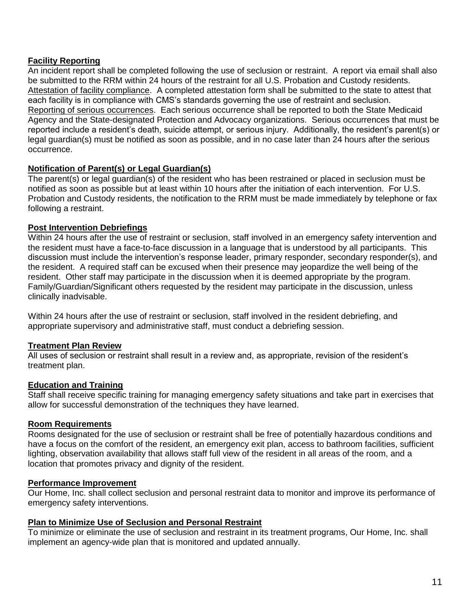# **Facility Reporting**

An incident report shall be completed following the use of seclusion or restraint. A report via email shall also be submitted to the RRM within 24 hours of the restraint for all U.S. Probation and Custody residents. Attestation of facility compliance. A completed attestation form shall be submitted to the state to attest that each facility is in compliance with CMS's standards governing the use of restraint and seclusion. Reporting of serious occurrences. Each serious occurrence shall be reported to both the State Medicaid Agency and the State-designated Protection and Advocacy organizations. Serious occurrences that must be reported include a resident's death, suicide attempt, or serious injury. Additionally, the resident's parent(s) or legal guardian(s) must be notified as soon as possible, and in no case later than 24 hours after the serious occurrence.

# **Notification of Parent(s) or Legal Guardian(s)**

The parent(s) or legal guardian(s) of the resident who has been restrained or placed in seclusion must be notified as soon as possible but at least within 10 hours after the initiation of each intervention. For U.S. Probation and Custody residents, the notification to the RRM must be made immediately by telephone or fax following a restraint.

#### **Post Intervention Debriefings**

Within 24 hours after the use of restraint or seclusion, staff involved in an emergency safety intervention and the resident must have a face-to-face discussion in a language that is understood by all participants. This discussion must include the intervention's response leader, primary responder, secondary responder(s), and the resident. A required staff can be excused when their presence may jeopardize the well being of the resident. Other staff may participate in the discussion when it is deemed appropriate by the program. Family/Guardian/Significant others requested by the resident may participate in the discussion, unless clinically inadvisable.

Within 24 hours after the use of restraint or seclusion, staff involved in the resident debriefing, and appropriate supervisory and administrative staff, must conduct a debriefing session.

# **Treatment Plan Review**

All uses of seclusion or restraint shall result in a review and, as appropriate, revision of the resident's treatment plan.

#### **Education and Training**

Staff shall receive specific training for managing emergency safety situations and take part in exercises that allow for successful demonstration of the techniques they have learned.

# **Room Requirements**

Rooms designated for the use of seclusion or restraint shall be free of potentially hazardous conditions and have a focus on the comfort of the resident, an emergency exit plan, access to bathroom facilities, sufficient lighting, observation availability that allows staff full view of the resident in all areas of the room, and a location that promotes privacy and dignity of the resident.

#### **Performance Improvement**

Our Home, Inc. shall collect seclusion and personal restraint data to monitor and improve its performance of emergency safety interventions.

# **Plan to Minimize Use of Seclusion and Personal Restraint**

To minimize or eliminate the use of seclusion and restraint in its treatment programs, Our Home, Inc. shall implement an agency-wide plan that is monitored and updated annually.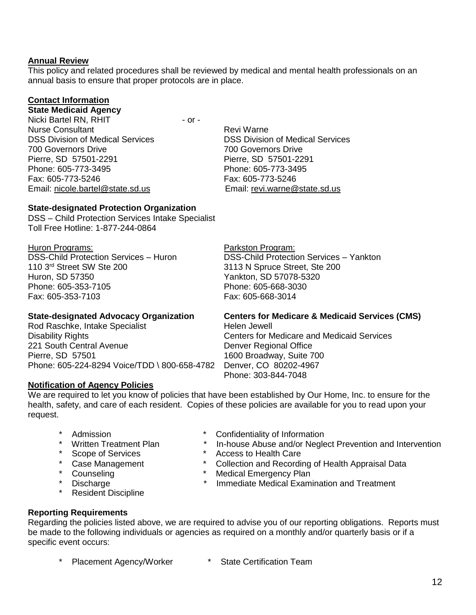#### **Annual Review**

This policy and related procedures shall be reviewed by medical and mental health professionals on an annual basis to ensure that proper protocols are in place.

# **Contact Information**

# **State Medicaid Agency**

Nicki Bartel RN, RHIT - or -Nurse Consultant **Review Access** Revi Warne DSS Division of Medical Services DSS Division of Medical Services 700 Governors Drive 700 Governors Drive Pierre, SD 57501-2291 Pierre, SD 57501-2291 Phone: 605-773-3495 Phone: 605-773-3495 Fax: 605-773-5246 Fax: 605-773-5246 Email: [nicole.bartel@state.sd.us](mailto:nicole.bartel@state.sd.us) Email: revi.warne@state.sd.us

#### **State-designated Protection Organization**

DSS – Child Protection Services Intake Specialist Toll Free Hotline: 1-877-244-0864

Huron Programs: Parkston Program: DSS-Child Protection Services – Huron DSS-Child Protection Services – Yankton 110 3<sup>rd</sup> Street SW Ste 200 3113 N Spruce Street, Ste 200 Huron, SD 57350<br>
Phone: 605-353-7105<br>
Phone: 605-668-3030<br>
Phone: 605-668-3030 Phone: 605-353-7105 Fax: 605-353-7103 Fax: 605-668-3014

#### **State-designated Advocacy Organization Centers for Medicare & Medicaid Services (CMS)**

Rod Raschke, Intake Specialist **Helen Jewell** Disability Rights Centers for Medicare and Medicaid Services 221 South Central Avenue **Denver Regional Office** Pierre, SD 57501 1600 Broadway, Suite 700 Phone: 605-224-8294 Voice/TDD \ 800-658-4782 Denver, CO 80202-4967

#### **Notification of Agency Policies**

We are required to let you know of policies that have been established by Our Home, Inc. to ensure for the health, safety, and care of each resident. Copies of these policies are available for you to read upon your request.

- 
- 
- 
- 
- 
- 
- \* Resident Discipline

# \* Admission \* Confidentiality of Information<br>\* Written Treatment Plan \* In-house Abuse and/or Negle

Phone: 303-844-7048

- In-house Abuse and/or Neglect Prevention and Intervention
- \* Scope of Services \* Access to Health Care
- \* Collection and Recording of Health Appraisal Data \* Case Management \* Collection and Recording<br>\* Counseling \* \* Medical Emergency Plan<br>\* Discharge \* \* Immediate Medical Exam
	-
	- Immediate Medical Examination and Treatment

#### **Reporting Requirements**

Regarding the policies listed above, we are required to advise you of our reporting obligations. Reports must be made to the following individuals or agencies as required on a monthly and/or quarterly basis or if a specific event occurs:

\* Placement Agency/Worker \* State Certification Team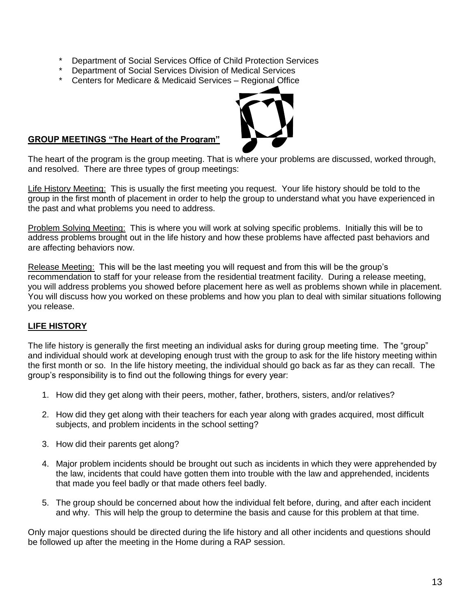- Department of Social Services Office of Child Protection Services
- Department of Social Services Division of Medical Services
- \* Centers for Medicare & Medicaid Services Regional Office



#### **GROUP MEETINGS "The Heart of the Program"**

The heart of the program is the group meeting. That is where your problems are discussed, worked through, and resolved. There are three types of group meetings:

Life History Meeting: This is usually the first meeting you request. Your life history should be told to the group in the first month of placement in order to help the group to understand what you have experienced in the past and what problems you need to address.

Problem Solving Meeting: This is where you will work at solving specific problems. Initially this will be to address problems brought out in the life history and how these problems have affected past behaviors and are affecting behaviors now.

Release Meeting: This will be the last meeting you will request and from this will be the group's recommendation to staff for your release from the residential treatment facility. During a release meeting, you will address problems you showed before placement here as well as problems shown while in placement. You will discuss how you worked on these problems and how you plan to deal with similar situations following you release.

#### **LIFE HISTORY**

The life history is generally the first meeting an individual asks for during group meeting time. The "group" and individual should work at developing enough trust with the group to ask for the life history meeting within the first month or so. In the life history meeting, the individual should go back as far as they can recall. The group's responsibility is to find out the following things for every year:

- 1. How did they get along with their peers, mother, father, brothers, sisters, and/or relatives?
- 2. How did they get along with their teachers for each year along with grades acquired, most difficult subjects, and problem incidents in the school setting?
- 3. How did their parents get along?
- 4. Major problem incidents should be brought out such as incidents in which they were apprehended by the law, incidents that could have gotten them into trouble with the law and apprehended, incidents that made you feel badly or that made others feel badly.
- 5. The group should be concerned about how the individual felt before, during, and after each incident and why. This will help the group to determine the basis and cause for this problem at that time.

Only major questions should be directed during the life history and all other incidents and questions should be followed up after the meeting in the Home during a RAP session.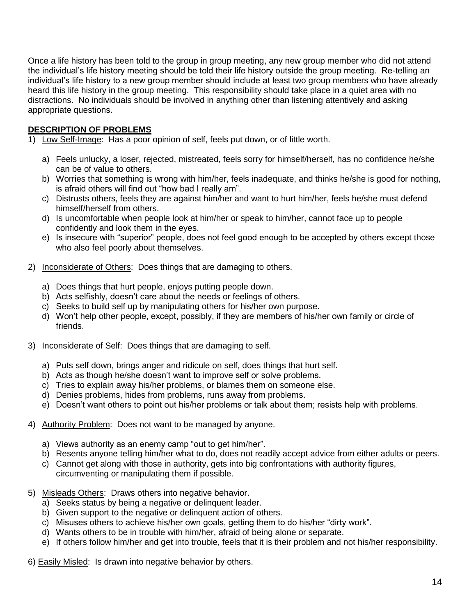Once a life history has been told to the group in group meeting, any new group member who did not attend the individual's life history meeting should be told their life history outside the group meeting. Re-telling an individual's life history to a new group member should include at least two group members who have already heard this life history in the group meeting. This responsibility should take place in a quiet area with no distractions. No individuals should be involved in anything other than listening attentively and asking appropriate questions.

# **DESCRIPTION OF PROBLEMS**

- 1) Low Self-Image: Has a poor opinion of self, feels put down, or of little worth.
	- a) Feels unlucky, a loser, rejected, mistreated, feels sorry for himself/herself, has no confidence he/she can be of value to others.
	- b) Worries that something is wrong with him/her, feels inadequate, and thinks he/she is good for nothing, is afraid others will find out "how bad I really am".
	- c) Distrusts others, feels they are against him/her and want to hurt him/her, feels he/she must defend himself/herself from others.
	- d) Is uncomfortable when people look at him/her or speak to him/her, cannot face up to people confidently and look them in the eyes.
	- e) Is insecure with "superior" people, does not feel good enough to be accepted by others except those who also feel poorly about themselves.
- 2) Inconsiderate of Others: Does things that are damaging to others.
	- a) Does things that hurt people, enjoys putting people down.
	- b) Acts selfishly, doesn't care about the needs or feelings of others.
	- c) Seeks to build self up by manipulating others for his/her own purpose.
	- d) Won't help other people, except, possibly, if they are members of his/her own family or circle of friends.
- 3) Inconsiderate of Self: Does things that are damaging to self.
	- a) Puts self down, brings anger and ridicule on self, does things that hurt self.
	- b) Acts as though he/she doesn't want to improve self or solve problems.
	- c) Tries to explain away his/her problems, or blames them on someone else.
	- d) Denies problems, hides from problems, runs away from problems.
	- e) Doesn't want others to point out his/her problems or talk about them; resists help with problems.
- 4) Authority Problem: Does not want to be managed by anyone.
	- a) Views authority as an enemy camp "out to get him/her".
	- b) Resents anyone telling him/her what to do, does not readily accept advice from either adults or peers.
	- c) Cannot get along with those in authority, gets into big confrontations with authority figures, circumventing or manipulating them if possible.
- 5) Misleads Others: Draws others into negative behavior.
	- a) Seeks status by being a negative or delinquent leader.
	- b) Given support to the negative or delinquent action of others.
	- c) Misuses others to achieve his/her own goals, getting them to do his/her "dirty work".
	- d) Wants others to be in trouble with him/her, afraid of being alone or separate.
	- e) If others follow him/her and get into trouble, feels that it is their problem and not his/her responsibility.

6) Easily Misled: Is drawn into negative behavior by others.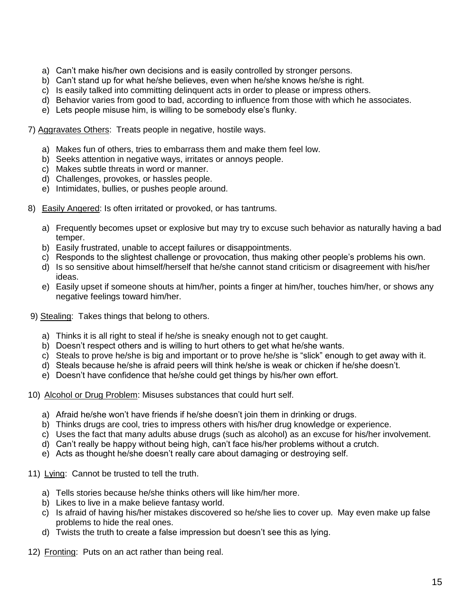- a) Can't make his/her own decisions and is easily controlled by stronger persons.
- b) Can't stand up for what he/she believes, even when he/she knows he/she is right.
- c) Is easily talked into committing delinquent acts in order to please or impress others.
- d) Behavior varies from good to bad, according to influence from those with which he associates.
- e) Lets people misuse him, is willing to be somebody else's flunky.

7) Aggravates Others: Treats people in negative, hostile ways.

- a) Makes fun of others, tries to embarrass them and make them feel low.
- b) Seeks attention in negative ways, irritates or annoys people.
- c) Makes subtle threats in word or manner.
- d) Challenges, provokes, or hassles people.
- e) Intimidates, bullies, or pushes people around.
- 8) Easily Angered: Is often irritated or provoked, or has tantrums.
	- a) Frequently becomes upset or explosive but may try to excuse such behavior as naturally having a bad temper.
	- b) Easily frustrated, unable to accept failures or disappointments.
	- c) Responds to the slightest challenge or provocation, thus making other people's problems his own.
	- d) Is so sensitive about himself/herself that he/she cannot stand criticism or disagreement with his/her ideas.
	- e) Easily upset if someone shouts at him/her, points a finger at him/her, touches him/her, or shows any negative feelings toward him/her.
- 9) Stealing: Takes things that belong to others.
	- a) Thinks it is all right to steal if he/she is sneaky enough not to get caught.
	- b) Doesn't respect others and is willing to hurt others to get what he/she wants.
	- c) Steals to prove he/she is big and important or to prove he/she is "slick" enough to get away with it.
	- d) Steals because he/she is afraid peers will think he/she is weak or chicken if he/she doesn't.
	- e) Doesn't have confidence that he/she could get things by his/her own effort.

10) Alcohol or Drug Problem: Misuses substances that could hurt self.

- a) Afraid he/she won't have friends if he/she doesn't join them in drinking or drugs.
- b) Thinks drugs are cool, tries to impress others with his/her drug knowledge or experience.
- c) Uses the fact that many adults abuse drugs (such as alcohol) as an excuse for his/her involvement.
- d) Can't really be happy without being high, can't face his/her problems without a crutch.
- e) Acts as thought he/she doesn't really care about damaging or destroying self.
- 11) Lying: Cannot be trusted to tell the truth.
	- a) Tells stories because he/she thinks others will like him/her more.
	- b) Likes to live in a make believe fantasy world.
	- c) Is afraid of having his/her mistakes discovered so he/she lies to cover up. May even make up false problems to hide the real ones.
	- d) Twists the truth to create a false impression but doesn't see this as lying.
- 12) Fronting: Puts on an act rather than being real.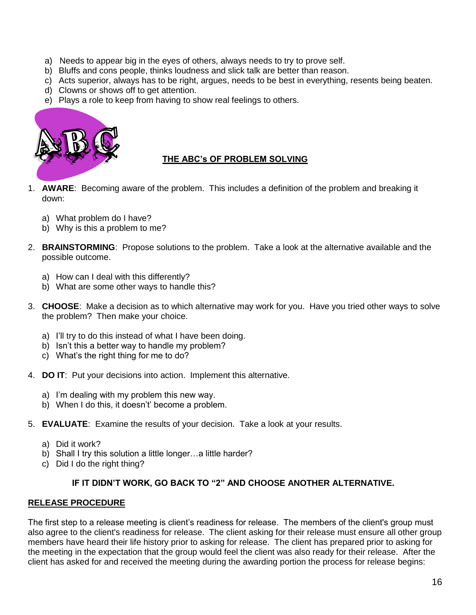- a) Needs to appear big in the eyes of others, always needs to try to prove self.
- b) Bluffs and cons people, thinks loudness and slick talk are better than reason.
- c) Acts superior, always has to be right, argues, needs to be best in everything, resents being beaten.
- d) Clowns or shows off to get attention.
- e) Plays a role to keep from having to show real feelings to others.



# **THE ABC's OF PROBLEM SOLVING**

- 1. **AWARE**: Becoming aware of the problem. This includes a definition of the problem and breaking it down:
	- a) What problem do I have?
	- b) Why is this a problem to me?
- 2. **BRAINSTORMING**: Propose solutions to the problem. Take a look at the alternative available and the possible outcome.
	- a) How can I deal with this differently?
	- b) What are some other ways to handle this?
- 3. **CHOOSE**: Make a decision as to which alternative may work for you. Have you tried other ways to solve the problem? Then make your choice.
	- a) I'll try to do this instead of what I have been doing.
	- b) Isn't this a better way to handle my problem?
	- c) What's the right thing for me to do?
- 4. **DO IT**: Put your decisions into action. Implement this alternative.
	- a) I'm dealing with my problem this new way.
	- b) When I do this, it doesn't' become a problem.
- 5. **EVALUATE**: Examine the results of your decision. Take a look at your results.
	- a) Did it work?
	- b) Shall I try this solution a little longer...a little harder?
	- c) Did I do the right thing?

#### **IF IT DIDN'T WORK, GO BACK TO "2" AND CHOOSE ANOTHER ALTERNATIVE.**

#### **RELEASE PROCEDURE**

The first step to a release meeting is client's readiness for release. The members of the client's group must also agree to the client's readiness for release. The client asking for their release must ensure all other group members have heard their life history prior to asking for release. The client has prepared prior to asking for the meeting in the expectation that the group would feel the client was also ready for their release. After the client has asked for and received the meeting during the awarding portion the process for release begins: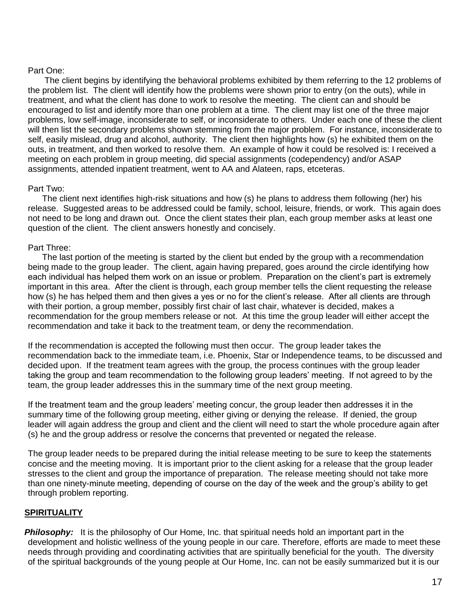#### Part One:

 The client begins by identifying the behavioral problems exhibited by them referring to the 12 problems of the problem list. The client will identify how the problems were shown prior to entry (on the outs), while in treatment, and what the client has done to work to resolve the meeting. The client can and should be encouraged to list and identify more than one problem at a time. The client may list one of the three major problems, low self-image, inconsiderate to self, or inconsiderate to others. Under each one of these the client will then list the secondary problems shown stemming from the major problem. For instance, inconsiderate to self, easily mislead, drug and alcohol, authority. The client then highlights how (s) he exhibited them on the outs, in treatment, and then worked to resolve them. An example of how it could be resolved is: I received a meeting on each problem in group meeting, did special assignments (codependency) and/or ASAP assignments, attended inpatient treatment, went to AA and Alateen, raps, etceteras.

#### Part Two:

 The client next identifies high-risk situations and how (s) he plans to address them following (her) his release. Suggested areas to be addressed could be family, school, leisure, friends, or work. This again does not need to be long and drawn out. Once the client states their plan, each group member asks at least one question of the client. The client answers honestly and concisely.

#### Part Three:

 The last portion of the meeting is started by the client but ended by the group with a recommendation being made to the group leader. The client, again having prepared, goes around the circle identifying how each individual has helped them work on an issue or problem. Preparation on the client's part is extremely important in this area. After the client is through, each group member tells the client requesting the release how (s) he has helped them and then gives a yes or no for the client's release. After all clients are through with their portion, a group member, possibly first chair of last chair, whatever is decided, makes a recommendation for the group members release or not. At this time the group leader will either accept the recommendation and take it back to the treatment team, or deny the recommendation.

If the recommendation is accepted the following must then occur. The group leader takes the recommendation back to the immediate team, i.e. Phoenix, Star or Independence teams, to be discussed and decided upon. If the treatment team agrees with the group, the process continues with the group leader taking the group and team recommendation to the following group leaders' meeting. If not agreed to by the team, the group leader addresses this in the summary time of the next group meeting.

If the treatment team and the group leaders' meeting concur, the group leader then addresses it in the summary time of the following group meeting, either giving or denying the release. If denied, the group leader will again address the group and client and the client will need to start the whole procedure again after (s) he and the group address or resolve the concerns that prevented or negated the release.

The group leader needs to be prepared during the initial release meeting to be sure to keep the statements concise and the meeting moving. It is important prior to the client asking for a release that the group leader stresses to the client and group the importance of preparation. The release meeting should not take more than one ninety-minute meeting, depending of course on the day of the week and the group's ability to get through problem reporting.

# **SPIRITUALITY**

**Philosophy:** It is the philosophy of Our Home, Inc. that spiritual needs hold an important part in the development and holistic wellness of the young people in our care. Therefore, efforts are made to meet these needs through providing and coordinating activities that are spiritually beneficial for the youth. The diversity of the spiritual backgrounds of the young people at Our Home, Inc. can not be easily summarized but it is our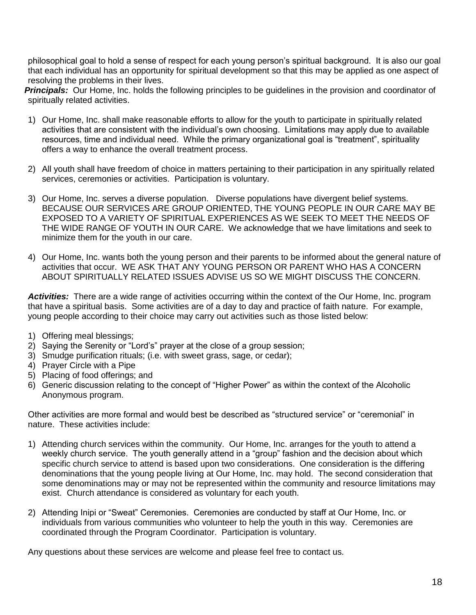philosophical goal to hold a sense of respect for each young person's spiritual background. It is also our goal that each individual has an opportunity for spiritual development so that this may be applied as one aspect of resolving the problems in their lives.

*Principals:* Our Home, Inc. holds the following principles to be guidelines in the provision and coordinator of spiritually related activities.

- 1) Our Home, Inc. shall make reasonable efforts to allow for the youth to participate in spiritually related activities that are consistent with the individual's own choosing. Limitations may apply due to available resources, time and individual need. While the primary organizational goal is "treatment", spirituality offers a way to enhance the overall treatment process.
- 2) All youth shall have freedom of choice in matters pertaining to their participation in any spiritually related services, ceremonies or activities. Participation is voluntary.
- 3) Our Home, Inc. serves a diverse population. Diverse populations have divergent belief systems. BECAUSE OUR SERVICES ARE GROUP ORIENTED, THE YOUNG PEOPLE IN OUR CARE MAY BE EXPOSED TO A VARIETY OF SPIRITUAL EXPERIENCES AS WE SEEK TO MEET THE NEEDS OF THE WIDE RANGE OF YOUTH IN OUR CARE. We acknowledge that we have limitations and seek to minimize them for the youth in our care.
- 4) Our Home, Inc. wants both the young person and their parents to be informed about the general nature of activities that occur. WE ASK THAT ANY YOUNG PERSON OR PARENT WHO HAS A CONCERN ABOUT SPIRITUALLY RELATED ISSUES ADVISE US SO WE MIGHT DISCUSS THE CONCERN.

*Activities:* There are a wide range of activities occurring within the context of the Our Home, Inc. program that have a spiritual basis. Some activities are of a day to day and practice of faith nature. For example, young people according to their choice may carry out activities such as those listed below:

- 1) Offering meal blessings;
- 2) Saying the Serenity or "Lord's" prayer at the close of a group session;
- 3) Smudge purification rituals; (i.e. with sweet grass, sage, or cedar);
- 4) Prayer Circle with a Pipe
- 5) Placing of food offerings; and
- 6) Generic discussion relating to the concept of "Higher Power" as within the context of the Alcoholic Anonymous program.

Other activities are more formal and would best be described as "structured service" or "ceremonial" in nature. These activities include:

- 1) Attending church services within the community. Our Home, Inc. arranges for the youth to attend a weekly church service. The youth generally attend in a "group" fashion and the decision about which specific church service to attend is based upon two considerations. One consideration is the differing denominations that the young people living at Our Home, Inc. may hold. The second consideration that some denominations may or may not be represented within the community and resource limitations may exist. Church attendance is considered as voluntary for each youth.
- 2) Attending Inipi or "Sweat" Ceremonies. Ceremonies are conducted by staff at Our Home, Inc. or individuals from various communities who volunteer to help the youth in this way. Ceremonies are coordinated through the Program Coordinator. Participation is voluntary.

Any questions about these services are welcome and please feel free to contact us.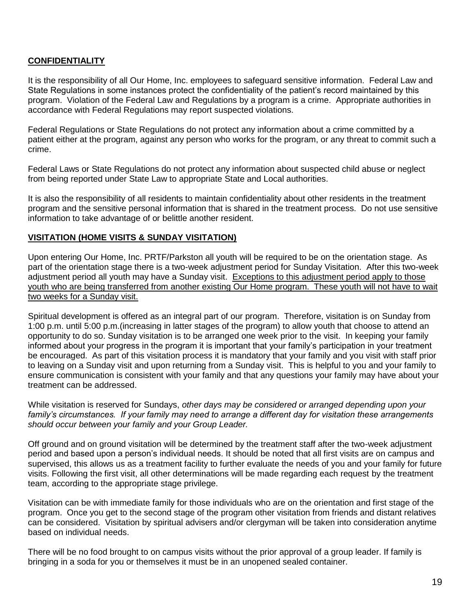# **CONFIDENTIALITY**

It is the responsibility of all Our Home, Inc. employees to safeguard sensitive information. Federal Law and State Regulations in some instances protect the confidentiality of the patient's record maintained by this program. Violation of the Federal Law and Regulations by a program is a crime. Appropriate authorities in accordance with Federal Regulations may report suspected violations.

Federal Regulations or State Regulations do not protect any information about a crime committed by a patient either at the program, against any person who works for the program, or any threat to commit such a crime.

Federal Laws or State Regulations do not protect any information about suspected child abuse or neglect from being reported under State Law to appropriate State and Local authorities.

It is also the responsibility of all residents to maintain confidentiality about other residents in the treatment program and the sensitive personal information that is shared in the treatment process. Do not use sensitive information to take advantage of or belittle another resident.

#### **VISITATION (HOME VISITS & SUNDAY VISITATION)**

Upon entering Our Home, Inc. PRTF/Parkston all youth will be required to be on the orientation stage. As part of the orientation stage there is a two-week adjustment period for Sunday Visitation. After this two-week adjustment period all youth may have a Sunday visit. Exceptions to this adjustment period apply to those youth who are being transferred from another existing Our Home program. These youth will not have to wait two weeks for a Sunday visit.

Spiritual development is offered as an integral part of our program. Therefore, visitation is on Sunday from 1:00 p.m. until 5:00 p.m.(increasing in latter stages of the program) to allow youth that choose to attend an opportunity to do so. Sunday visitation is to be arranged one week prior to the visit. In keeping your family informed about your progress in the program it is important that your family's participation in your treatment be encouraged. As part of this visitation process it is mandatory that your family and you visit with staff prior to leaving on a Sunday visit and upon returning from a Sunday visit. This is helpful to you and your family to ensure communication is consistent with your family and that any questions your family may have about your treatment can be addressed.

While visitation is reserved for Sundays, *other days may be considered or arranged depending upon your family's circumstances. If your family may need to arrange a different day for visitation these arrangements should occur between your family and your Group Leader.*

Off ground and on ground visitation will be determined by the treatment staff after the two-week adjustment period and based upon a person's individual needs. It should be noted that all first visits are on campus and supervised, this allows us as a treatment facility to further evaluate the needs of you and your family for future visits. Following the first visit, all other determinations will be made regarding each request by the treatment team, according to the appropriate stage privilege.

Visitation can be with immediate family for those individuals who are on the orientation and first stage of the program. Once you get to the second stage of the program other visitation from friends and distant relatives can be considered. Visitation by spiritual advisers and/or clergyman will be taken into consideration anytime based on individual needs.

There will be no food brought to on campus visits without the prior approval of a group leader. If family is bringing in a soda for you or themselves it must be in an unopened sealed container.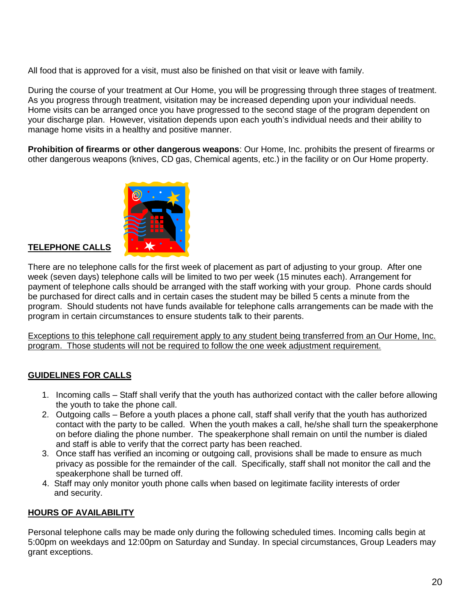All food that is approved for a visit, must also be finished on that visit or leave with family.

During the course of your treatment at Our Home, you will be progressing through three stages of treatment. As you progress through treatment, visitation may be increased depending upon your individual needs. Home visits can be arranged once you have progressed to the second stage of the program dependent on your discharge plan. However, visitation depends upon each youth's individual needs and their ability to manage home visits in a healthy and positive manner.

**Prohibition of firearms or other dangerous weapons**: Our Home, Inc. prohibits the present of firearms or other dangerous weapons (knives, CD gas, Chemical agents, etc.) in the facility or on Our Home property.



# **TELEPHONE CALLS**

There are no telephone calls for the first week of placement as part of adjusting to your group. After one week (seven days) telephone calls will be limited to two per week (15 minutes each). Arrangement for payment of telephone calls should be arranged with the staff working with your group. Phone cards should be purchased for direct calls and in certain cases the student may be billed 5 cents a minute from the program. Should students not have funds available for telephone calls arrangements can be made with the program in certain circumstances to ensure students talk to their parents.

Exceptions to this telephone call requirement apply to any student being transferred from an Our Home, Inc. program. Those students will not be required to follow the one week adjustment requirement.

# **GUIDELINES FOR CALLS**

- 1. Incoming calls Staff shall verify that the youth has authorized contact with the caller before allowing the youth to take the phone call.
- 2. Outgoing calls Before a youth places a phone call, staff shall verify that the youth has authorized contact with the party to be called. When the youth makes a call, he/she shall turn the speakerphone on before dialing the phone number. The speakerphone shall remain on until the number is dialed and staff is able to verify that the correct party has been reached.
- 3. Once staff has verified an incoming or outgoing call, provisions shall be made to ensure as much privacy as possible for the remainder of the call. Specifically, staff shall not monitor the call and the speakerphone shall be turned off.
- 4. Staff may only monitor youth phone calls when based on legitimate facility interests of order and security.

# **HOURS OF AVAILABILITY**

Personal telephone calls may be made only during the following scheduled times. Incoming calls begin at 5:00pm on weekdays and 12:00pm on Saturday and Sunday. In special circumstances, Group Leaders may grant exceptions.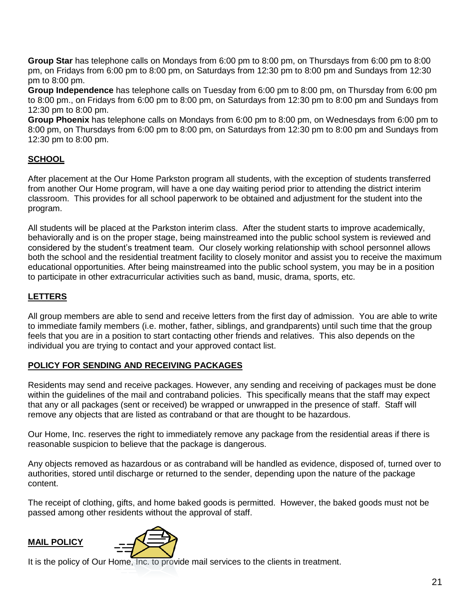**Group Star** has telephone calls on Mondays from 6:00 pm to 8:00 pm, on Thursdays from 6:00 pm to 8:00 pm, on Fridays from 6:00 pm to 8:00 pm, on Saturdays from 12:30 pm to 8:00 pm and Sundays from 12:30 pm to 8:00 pm.

**Group Independence** has telephone calls on Tuesday from 6:00 pm to 8:00 pm, on Thursday from 6:00 pm to 8:00 pm., on Fridays from 6:00 pm to 8:00 pm, on Saturdays from 12:30 pm to 8:00 pm and Sundays from 12:30 pm to 8:00 pm.

**Group Phoenix** has telephone calls on Mondays from 6:00 pm to 8:00 pm, on Wednesdays from 6:00 pm to 8:00 pm, on Thursdays from 6:00 pm to 8:00 pm, on Saturdays from 12:30 pm to 8:00 pm and Sundays from 12:30 pm to 8:00 pm.

# **SCHOOL**

After placement at the Our Home Parkston program all students, with the exception of students transferred from another Our Home program, will have a one day waiting period prior to attending the district interim classroom. This provides for all school paperwork to be obtained and adjustment for the student into the program.

All students will be placed at the Parkston interim class. After the student starts to improve academically, behaviorally and is on the proper stage, being mainstreamed into the public school system is reviewed and considered by the student's treatment team. Our closely working relationship with school personnel allows both the school and the residential treatment facility to closely monitor and assist you to receive the maximum educational opportunities. After being mainstreamed into the public school system, you may be in a position to participate in other extracurricular activities such as band, music, drama, sports, etc.

# **LETTERS**

All group members are able to send and receive letters from the first day of admission. You are able to write to immediate family members (i.e. mother, father, siblings, and grandparents) until such time that the group feels that you are in a position to start contacting other friends and relatives. This also depends on the individual you are trying to contact and your approved contact list.

# **POLICY FOR SENDING AND RECEIVING PACKAGES**

Residents may send and receive packages. However, any sending and receiving of packages must be done within the guidelines of the mail and contraband policies. This specifically means that the staff may expect that any or all packages (sent or received) be wrapped or unwrapped in the presence of staff. Staff will remove any objects that are listed as contraband or that are thought to be hazardous.

Our Home, Inc. reserves the right to immediately remove any package from the residential areas if there is reasonable suspicion to believe that the package is dangerous.

Any objects removed as hazardous or as contraband will be handled as evidence, disposed of, turned over to authorities, stored until discharge or returned to the sender, depending upon the nature of the package content.

The receipt of clothing, gifts, and home baked goods is permitted. However, the baked goods must not be passed among other residents without the approval of staff.

# **MAIL POLICY**



It is the policy of Our Home, Inc. to provide mail services to the clients in treatment.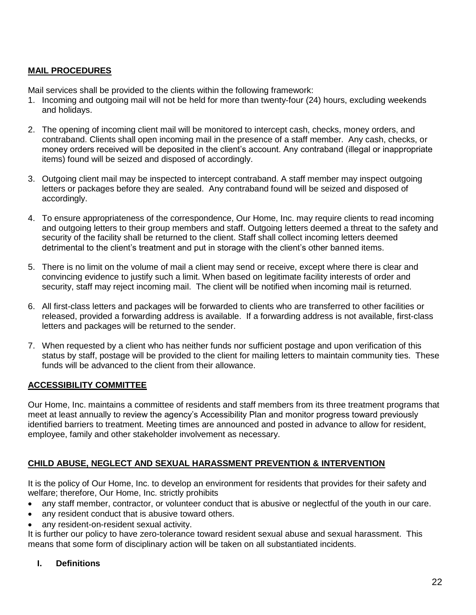# **MAIL PROCEDURES**

Mail services shall be provided to the clients within the following framework:

- 1. Incoming and outgoing mail will not be held for more than twenty-four (24) hours, excluding weekends and holidays.
- 2. The opening of incoming client mail will be monitored to intercept cash, checks, money orders, and contraband. Clients shall open incoming mail in the presence of a staff member. Any cash, checks, or money orders received will be deposited in the client's account. Any contraband (illegal or inappropriate items) found will be seized and disposed of accordingly.
- 3. Outgoing client mail may be inspected to intercept contraband. A staff member may inspect outgoing letters or packages before they are sealed. Any contraband found will be seized and disposed of accordingly.
- 4. To ensure appropriateness of the correspondence, Our Home, Inc. may require clients to read incoming and outgoing letters to their group members and staff. Outgoing letters deemed a threat to the safety and security of the facility shall be returned to the client. Staff shall collect incoming letters deemed detrimental to the client's treatment and put in storage with the client's other banned items.
- 5. There is no limit on the volume of mail a client may send or receive, except where there is clear and convincing evidence to justify such a limit. When based on legitimate facility interests of order and security, staff may reject incoming mail. The client will be notified when incoming mail is returned.
- 6. All first-class letters and packages will be forwarded to clients who are transferred to other facilities or released, provided a forwarding address is available. If a forwarding address is not available, first-class letters and packages will be returned to the sender.
- 7. When requested by a client who has neither funds nor sufficient postage and upon verification of this status by staff, postage will be provided to the client for mailing letters to maintain community ties. These funds will be advanced to the client from their allowance.

#### **ACCESSIBILITY COMMITTEE**

Our Home, Inc. maintains a committee of residents and staff members from its three treatment programs that meet at least annually to review the agency's Accessibility Plan and monitor progress toward previously identified barriers to treatment. Meeting times are announced and posted in advance to allow for resident, employee, family and other stakeholder involvement as necessary.

# **CHILD ABUSE, NEGLECT AND SEXUAL HARASSMENT PREVENTION & INTERVENTION**

It is the policy of Our Home, Inc. to develop an environment for residents that provides for their safety and welfare; therefore, Our Home, Inc. strictly prohibits

- any staff member, contractor, or volunteer conduct that is abusive or neglectful of the youth in our care.
- any resident conduct that is abusive toward others.
- any resident-on-resident sexual activity.

It is further our policy to have zero-tolerance toward resident sexual abuse and sexual harassment. This means that some form of disciplinary action will be taken on all substantiated incidents.

## **I. Definitions**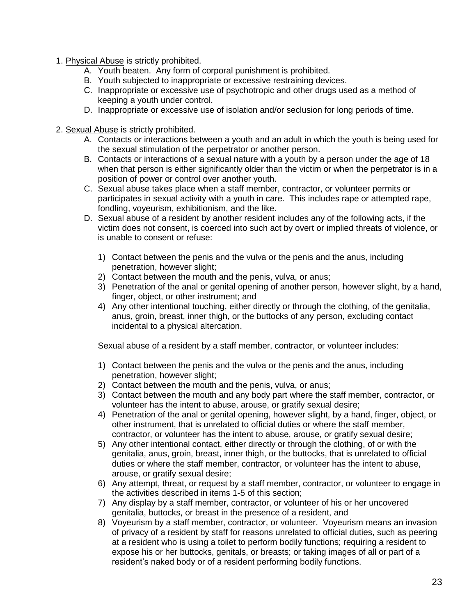- 1. Physical Abuse is strictly prohibited.
	- A. Youth beaten. Any form of corporal punishment is prohibited.
	- B. Youth subjected to inappropriate or excessive restraining devices.
	- C. Inappropriate or excessive use of psychotropic and other drugs used as a method of keeping a youth under control.
	- D. Inappropriate or excessive use of isolation and/or seclusion for long periods of time.
- 2. Sexual Abuse is strictly prohibited.
	- A. Contacts or interactions between a youth and an adult in which the youth is being used for the sexual stimulation of the perpetrator or another person.
	- B. Contacts or interactions of a sexual nature with a youth by a person under the age of 18 when that person is either significantly older than the victim or when the perpetrator is in a position of power or control over another youth.
	- C. Sexual abuse takes place when a staff member, contractor, or volunteer permits or participates in sexual activity with a youth in care. This includes rape or attempted rape, fondling, voyeurism, exhibitionism, and the like.
	- D. Sexual abuse of a resident by another resident includes any of the following acts, if the victim does not consent, is coerced into such act by overt or implied threats of violence, or is unable to consent or refuse:
		- 1) Contact between the penis and the vulva or the penis and the anus, including penetration, however slight;
		- 2) Contact between the mouth and the penis, vulva, or anus;
		- 3) Penetration of the anal or genital opening of another person, however slight, by a hand, finger, object, or other instrument; and
		- 4) Any other intentional touching, either directly or through the clothing, of the genitalia, anus, groin, breast, inner thigh, or the buttocks of any person, excluding contact incidental to a physical altercation.

Sexual abuse of a resident by a staff member, contractor, or volunteer includes:

- 1) Contact between the penis and the vulva or the penis and the anus, including penetration, however slight;
- 2) Contact between the mouth and the penis, vulva, or anus;
- 3) Contact between the mouth and any body part where the staff member, contractor, or volunteer has the intent to abuse, arouse, or gratify sexual desire;
- 4) Penetration of the anal or genital opening, however slight, by a hand, finger, object, or other instrument, that is unrelated to official duties or where the staff member, contractor, or volunteer has the intent to abuse, arouse, or gratify sexual desire;
- 5) Any other intentional contact, either directly or through the clothing, of or with the genitalia, anus, groin, breast, inner thigh, or the buttocks, that is unrelated to official duties or where the staff member, contractor, or volunteer has the intent to abuse, arouse, or gratify sexual desire;
- 6) Any attempt, threat, or request by a staff member, contractor, or volunteer to engage in the activities described in items 1-5 of this section;
- 7) Any display by a staff member, contractor, or volunteer of his or her uncovered genitalia, buttocks, or breast in the presence of a resident, and
- 8) Voyeurism by a staff member, contractor, or volunteer. Voyeurism means an invasion of privacy of a resident by staff for reasons unrelated to official duties, such as peering at a resident who is using a toilet to perform bodily functions; requiring a resident to expose his or her buttocks, genitals, or breasts; or taking images of all or part of a resident's naked body or of a resident performing bodily functions.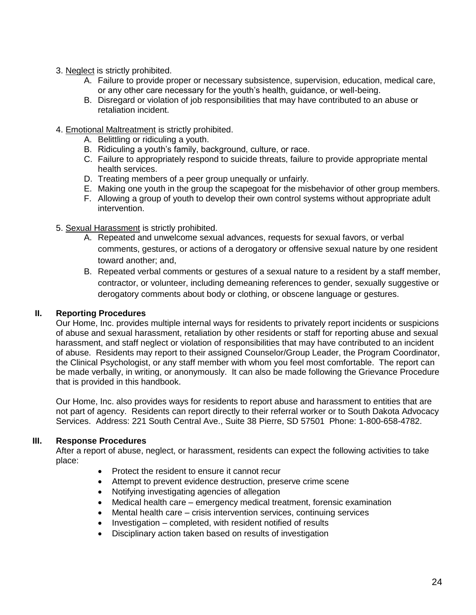- 3. Neglect is strictly prohibited.
	- A. Failure to provide proper or necessary subsistence, supervision, education, medical care, or any other care necessary for the youth's health, guidance, or well-being.
	- B. Disregard or violation of job responsibilities that may have contributed to an abuse or retaliation incident.
- 4. Emotional Maltreatment is strictly prohibited.
	- A. Belittling or ridiculing a youth.
	- B. Ridiculing a youth's family, background, culture, or race.
	- C. Failure to appropriately respond to suicide threats, failure to provide appropriate mental health services.
	- D. Treating members of a peer group unequally or unfairly.
	- E. Making one youth in the group the scapegoat for the misbehavior of other group members.
	- F. Allowing a group of youth to develop their own control systems without appropriate adult intervention.
- 5. Sexual Harassment is strictly prohibited.
	- A. Repeated and unwelcome sexual advances, requests for sexual favors, or verbal comments, gestures, or actions of a derogatory or offensive sexual nature by one resident toward another; and,
	- B. Repeated verbal comments or gestures of a sexual nature to a resident by a staff member, contractor, or volunteer, including demeaning references to gender, sexually suggestive or derogatory comments about body or clothing, or obscene language or gestures.

# **II. Reporting Procedures**

Our Home, Inc. provides multiple internal ways for residents to privately report incidents or suspicions of abuse and sexual harassment, retaliation by other residents or staff for reporting abuse and sexual harassment, and staff neglect or violation of responsibilities that may have contributed to an incident of abuse. Residents may report to their assigned Counselor/Group Leader, the Program Coordinator, the Clinical Psychologist, or any staff member with whom you feel most comfortable. The report can be made verbally, in writing, or anonymously. It can also be made following the Grievance Procedure that is provided in this handbook.

Our Home, Inc. also provides ways for residents to report abuse and harassment to entities that are not part of agency. Residents can report directly to their referral worker or to South Dakota Advocacy Services. Address: 221 South Central Ave., Suite 38 Pierre, SD 57501 Phone: 1-800-658-4782.

# **III. Response Procedures**

After a report of abuse, neglect, or harassment, residents can expect the following activities to take place:

- Protect the resident to ensure it cannot recur
- Attempt to prevent evidence destruction, preserve crime scene
- Notifying investigating agencies of allegation
- Medical health care emergency medical treatment, forensic examination
- Mental health care crisis intervention services, continuing services
- $\bullet$  Investigation completed, with resident notified of results
- Disciplinary action taken based on results of investigation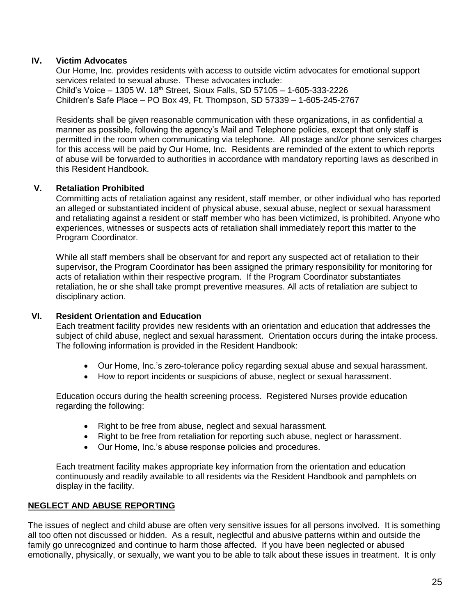# **IV. Victim Advocates**

Our Home, Inc. provides residents with access to outside victim advocates for emotional support services related to sexual abuse. These advocates include: Child's Voice – 1305 W. 18th Street, Sioux Falls, SD 57105 – 1-605-333-2226 Children's Safe Place – PO Box 49, Ft. Thompson, SD 57339 – 1-605-245-2767

Residents shall be given reasonable communication with these organizations, in as confidential a manner as possible, following the agency's Mail and Telephone policies, except that only staff is permitted in the room when communicating via telephone. All postage and/or phone services charges for this access will be paid by Our Home, Inc. Residents are reminded of the extent to which reports of abuse will be forwarded to authorities in accordance with mandatory reporting laws as described in this Resident Handbook.

# **V. Retaliation Prohibited**

Committing acts of retaliation against any resident, staff member, or other individual who has reported an alleged or substantiated incident of physical abuse, sexual abuse, neglect or sexual harassment and retaliating against a resident or staff member who has been victimized, is prohibited. Anyone who experiences, witnesses or suspects acts of retaliation shall immediately report this matter to the Program Coordinator.

While all staff members shall be observant for and report any suspected act of retaliation to their supervisor, the Program Coordinator has been assigned the primary responsibility for monitoring for acts of retaliation within their respective program. If the Program Coordinator substantiates retaliation, he or she shall take prompt preventive measures. All acts of retaliation are subject to disciplinary action.

## **VI. Resident Orientation and Education**

Each treatment facility provides new residents with an orientation and education that addresses the subject of child abuse, neglect and sexual harassment. Orientation occurs during the intake process. The following information is provided in the Resident Handbook:

- Our Home, Inc.'s zero-tolerance policy regarding sexual abuse and sexual harassment.
- How to report incidents or suspicions of abuse, neglect or sexual harassment.

Education occurs during the health screening process. Registered Nurses provide education regarding the following:

- Right to be free from abuse, neglect and sexual harassment.
- Right to be free from retaliation for reporting such abuse, neglect or harassment.
- Our Home, Inc.'s abuse response policies and procedures.

Each treatment facility makes appropriate key information from the orientation and education continuously and readily available to all residents via the Resident Handbook and pamphlets on display in the facility.

# **NEGLECT AND ABUSE REPORTING**

The issues of neglect and child abuse are often very sensitive issues for all persons involved. It is something all too often not discussed or hidden. As a result, neglectful and abusive patterns within and outside the family go unrecognized and continue to harm those affected. If you have been neglected or abused emotionally, physically, or sexually, we want you to be able to talk about these issues in treatment. It is only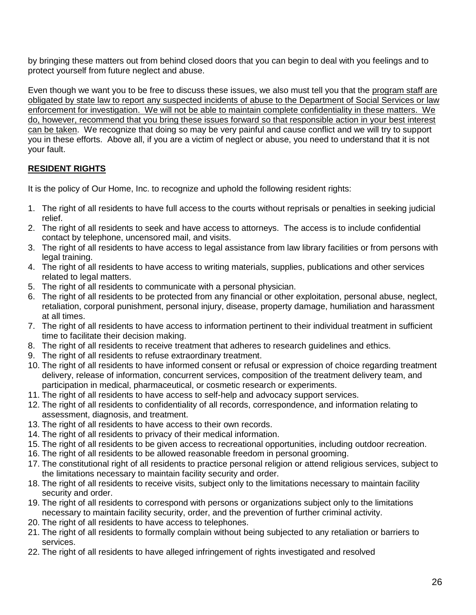by bringing these matters out from behind closed doors that you can begin to deal with you feelings and to protect yourself from future neglect and abuse.

Even though we want you to be free to discuss these issues, we also must tell you that the program staff are obligated by state law to report any suspected incidents of abuse to the Department of Social Services or law enforcement for investigation. We will not be able to maintain complete confidentiality in these matters. We do, however, recommend that you bring these issues forward so that responsible action in your best interest can be taken. We recognize that doing so may be very painful and cause conflict and we will try to support you in these efforts. Above all, if you are a victim of neglect or abuse, you need to understand that it is not your fault.

# **RESIDENT RIGHTS**

It is the policy of Our Home, Inc. to recognize and uphold the following resident rights:

- 1. The right of all residents to have full access to the courts without reprisals or penalties in seeking judicial relief.
- 2. The right of all residents to seek and have access to attorneys. The access is to include confidential contact by telephone, uncensored mail, and visits.
- 3. The right of all residents to have access to legal assistance from law library facilities or from persons with legal training.
- 4. The right of all residents to have access to writing materials, supplies, publications and other services related to legal matters.
- 5. The right of all residents to communicate with a personal physician.
- 6. The right of all residents to be protected from any financial or other exploitation, personal abuse, neglect, retaliation, corporal punishment, personal injury, disease, property damage, humiliation and harassment at all times.
- 7. The right of all residents to have access to information pertinent to their individual treatment in sufficient time to facilitate their decision making.
- 8. The right of all residents to receive treatment that adheres to research guidelines and ethics.
- 9. The right of all residents to refuse extraordinary treatment.
- 10. The right of all residents to have informed consent or refusal or expression of choice regarding treatment delivery, release of information, concurrent services, composition of the treatment delivery team, and participation in medical, pharmaceutical, or cosmetic research or experiments.
- 11. The right of all residents to have access to self-help and advocacy support services.
- 12. The right of all residents to confidentiality of all records, correspondence, and information relating to assessment, diagnosis, and treatment.
- 13. The right of all residents to have access to their own records.
- 14. The right of all residents to privacy of their medical information.
- 15. The right of all residents to be given access to recreational opportunities, including outdoor recreation.
- 16. The right of all residents to be allowed reasonable freedom in personal grooming.
- 17. The constitutional right of all residents to practice personal religion or attend religious services, subject to the limitations necessary to maintain facility security and order.
- 18. The right of all residents to receive visits, subject only to the limitations necessary to maintain facility security and order.
- 19. The right of all residents to correspond with persons or organizations subject only to the limitations necessary to maintain facility security, order, and the prevention of further criminal activity.
- 20. The right of all residents to have access to telephones.
- 21. The right of all residents to formally complain without being subjected to any retaliation or barriers to services.
- 22. The right of all residents to have alleged infringement of rights investigated and resolved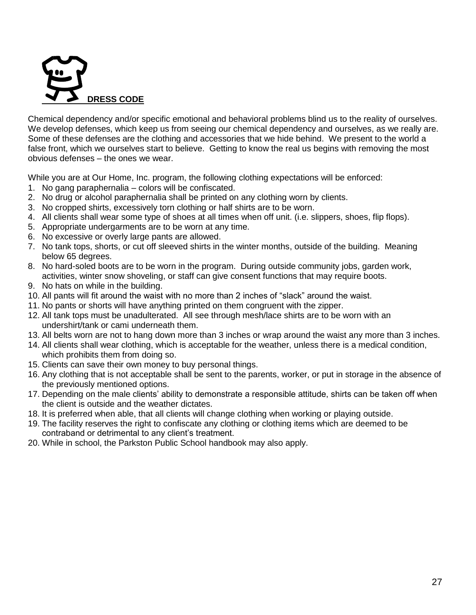

Chemical dependency and/or specific emotional and behavioral problems blind us to the reality of ourselves. We develop defenses, which keep us from seeing our chemical dependency and ourselves, as we really are. Some of these defenses are the clothing and accessories that we hide behind. We present to the world a false front, which we ourselves start to believe. Getting to know the real us begins with removing the most obvious defenses – the ones we wear.

While you are at Our Home, Inc. program, the following clothing expectations will be enforced:

- 1. No gang paraphernalia colors will be confiscated.
- 2. No drug or alcohol paraphernalia shall be printed on any clothing worn by clients.
- 3. No cropped shirts, excessively torn clothing or half shirts are to be worn.
- 4. All clients shall wear some type of shoes at all times when off unit. (i.e. slippers, shoes, flip flops).
- 5. Appropriate undergarments are to be worn at any time.
- 6. No excessive or overly large pants are allowed.
- 7. No tank tops, shorts, or cut off sleeved shirts in the winter months, outside of the building. Meaning below 65 degrees.
- 8. No hard-soled boots are to be worn in the program. During outside community jobs, garden work, activities, winter snow shoveling, or staff can give consent functions that may require boots.
- 9. No hats on while in the building.
- 10. All pants will fit around the waist with no more than 2 inches of "slack" around the waist.
- 11. No pants or shorts will have anything printed on them congruent with the zipper.
- 12. All tank tops must be unadulterated. All see through mesh/lace shirts are to be worn with an undershirt/tank or cami underneath them.
- 13. All belts worn are not to hang down more than 3 inches or wrap around the waist any more than 3 inches.
- 14. All clients shall wear clothing, which is acceptable for the weather, unless there is a medical condition, which prohibits them from doing so.
- 15. Clients can save their own money to buy personal things.
- 16. Any clothing that is not acceptable shall be sent to the parents, worker, or put in storage in the absence of the previously mentioned options.
- 17. Depending on the male clients' ability to demonstrate a responsible attitude, shirts can be taken off when the client is outside and the weather dictates.
- 18. It is preferred when able, that all clients will change clothing when working or playing outside.
- 19. The facility reserves the right to confiscate any clothing or clothing items which are deemed to be contraband or detrimental to any client's treatment.
- 20. While in school, the Parkston Public School handbook may also apply.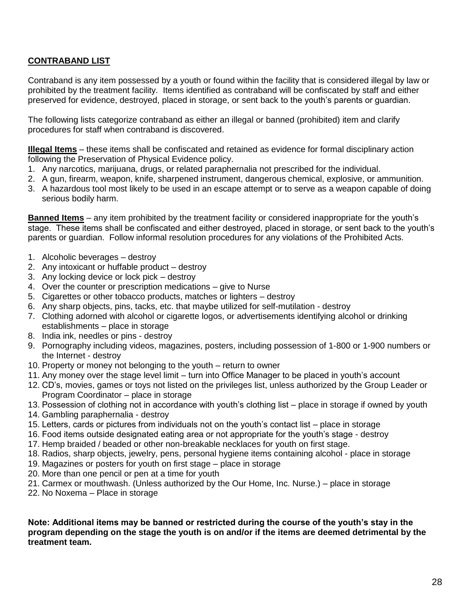# **CONTRABAND LIST**

Contraband is any item possessed by a youth or found within the facility that is considered illegal by law or prohibited by the treatment facility. Items identified as contraband will be confiscated by staff and either preserved for evidence, destroyed, placed in storage, or sent back to the youth's parents or guardian.

The following lists categorize contraband as either an illegal or banned (prohibited) item and clarify procedures for staff when contraband is discovered.

**Illegal Items** – these items shall be confiscated and retained as evidence for formal disciplinary action following the Preservation of Physical Evidence policy.

- 1. Any narcotics, marijuana, drugs, or related paraphernalia not prescribed for the individual.
- 2. A gun, firearm, weapon, knife, sharpened instrument, dangerous chemical, explosive, or ammunition.
- 3. A hazardous tool most likely to be used in an escape attempt or to serve as a weapon capable of doing serious bodily harm.

**Banned Items** – any item prohibited by the treatment facility or considered inappropriate for the youth's stage. These items shall be confiscated and either destroyed, placed in storage, or sent back to the youth's parents or guardian. Follow informal resolution procedures for any violations of the Prohibited Acts.

- 1. Alcoholic beverages destroy
- 2. Any intoxicant or huffable product destroy
- 3. Any locking device or lock pick destroy
- 4. Over the counter or prescription medications give to Nurse
- 5. Cigarettes or other tobacco products, matches or lighters destroy
- 6. Any sharp objects, pins, tacks, etc. that maybe utilized for self-mutilation destroy
- 7. Clothing adorned with alcohol or cigarette logos, or advertisements identifying alcohol or drinking establishments – place in storage
- 8. India ink, needles or pins destroy
- 9. Pornography including videos, magazines, posters, including possession of 1-800 or 1-900 numbers or the Internet - destroy
- 10. Property or money not belonging to the youth return to owner
- 11. Any money over the stage level limit turn into Office Manager to be placed in youth's account
- 12. CD's, movies, games or toys not listed on the privileges list, unless authorized by the Group Leader or Program Coordinator – place in storage
- 13. Possession of clothing not in accordance with youth's clothing list place in storage if owned by youth
- 14. Gambling paraphernalia destroy
- 15. Letters, cards or pictures from individuals not on the youth's contact list place in storage
- 16. Food items outside designated eating area or not appropriate for the youth's stage destroy
- 17. Hemp braided / beaded or other non-breakable necklaces for youth on first stage.
- 18. Radios, sharp objects, jewelry, pens, personal hygiene items containing alcohol place in storage
- 19. Magazines or posters for youth on first stage place in storage
- 20. More than one pencil or pen at a time for youth
- 21. Carmex or mouthwash. (Unless authorized by the Our Home, Inc. Nurse.) place in storage
- 22. No Noxema Place in storage

**Note: Additional items may be banned or restricted during the course of the youth's stay in the program depending on the stage the youth is on and/or if the items are deemed detrimental by the treatment team.**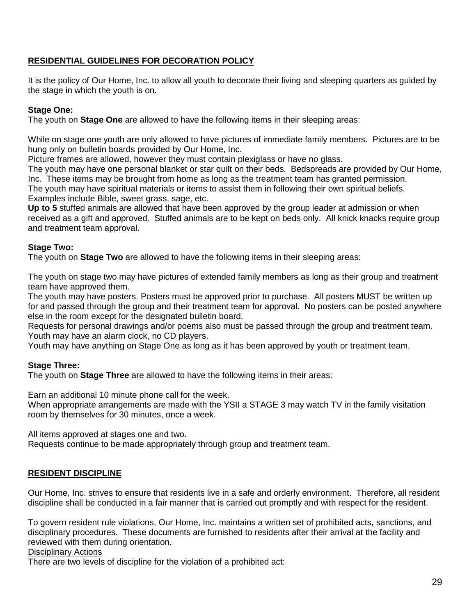# **RESIDENTIAL GUIDELINES FOR DECORATION POLICY**

It is the policy of Our Home, Inc. to allow all youth to decorate their living and sleeping quarters as guided by the stage in which the youth is on.

# **Stage One:**

The youth on **Stage One** are allowed to have the following items in their sleeping areas:

While on stage one youth are only allowed to have pictures of immediate family members. Pictures are to be hung only on bulletin boards provided by Our Home, Inc.

Picture frames are allowed, however they must contain plexiglass or have no glass.

The youth may have one personal blanket or star quilt on their beds. Bedspreads are provided by Our Home, Inc. These items may be brought from home as long as the treatment team has granted permission. The youth may have spiritual materials or items to assist them in following their own spiritual beliefs.

Examples include Bible, sweet grass, sage, etc.

**Up to 5** stuffed animals are allowed that have been approved by the group leader at admission or when received as a gift and approved. Stuffed animals are to be kept on beds only. All knick knacks require group and treatment team approval.

# **Stage Two:**

The youth on **Stage Two** are allowed to have the following items in their sleeping areas:

The youth on stage two may have pictures of extended family members as long as their group and treatment team have approved them.

The youth may have posters. Posters must be approved prior to purchase. All posters MUST be written up for and passed through the group and their treatment team for approval. No posters can be posted anywhere else in the room except for the designated bulletin board.

Requests for personal drawings and/or poems also must be passed through the group and treatment team. Youth may have an alarm clock, no CD players.

Youth may have anything on Stage One as long as it has been approved by youth or treatment team.

# **Stage Three:**

The youth on **Stage Three** are allowed to have the following items in their areas:

Earn an additional 10 minute phone call for the week.

When appropriate arrangements are made with the YSII a STAGE 3 may watch TV in the family visitation room by themselves for 30 minutes, once a week.

All items approved at stages one and two.

Requests continue to be made appropriately through group and treatment team.

# **RESIDENT DISCIPLINE**

Our Home, Inc. strives to ensure that residents live in a safe and orderly environment. Therefore, all resident discipline shall be conducted in a fair manner that is carried out promptly and with respect for the resident.

To govern resident rule violations, Our Home, Inc. maintains a written set of prohibited acts, sanctions, and disciplinary procedures. These documents are furnished to residents after their arrival at the facility and reviewed with them during orientation.

#### Disciplinary Actions

There are two levels of discipline for the violation of a prohibited act: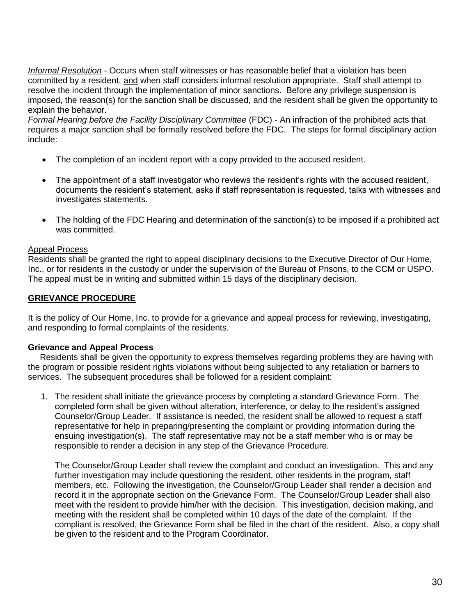*Informal Resolution* - Occurs when staff witnesses or has reasonable belief that a violation has been committed by a resident, and when staff considers informal resolution appropriate. Staff shall attempt to resolve the incident through the implementation of minor sanctions. Before any privilege suspension is imposed, the reason(s) for the sanction shall be discussed, and the resident shall be given the opportunity to explain the behavior.

*Formal Hearing before the Facility Disciplinary Committee (FDC) - An infraction of the prohibited acts that* requires a major sanction shall be formally resolved before the FDC. The steps for formal disciplinary action include:

- The completion of an incident report with a copy provided to the accused resident.
- The appointment of a staff investigator who reviews the resident's rights with the accused resident, documents the resident's statement, asks if staff representation is requested, talks with witnesses and investigates statements.
- The holding of the FDC Hearing and determination of the sanction(s) to be imposed if a prohibited act was committed.

#### Appeal Process

Residents shall be granted the right to appeal disciplinary decisions to the Executive Director of Our Home, Inc., or for residents in the custody or under the supervision of the Bureau of Prisons, to the CCM or USPO. The appeal must be in writing and submitted within 15 days of the disciplinary decision.

#### **GRIEVANCE PROCEDURE**

It is the policy of Our Home, Inc. to provide for a grievance and appeal process for reviewing, investigating, and responding to formal complaints of the residents.

#### **Grievance and Appeal Process**

 Residents shall be given the opportunity to express themselves regarding problems they are having with the program or possible resident rights violations without being subjected to any retaliation or barriers to services. The subsequent procedures shall be followed for a resident complaint:

1. The resident shall initiate the grievance process by completing a standard Grievance Form. The completed form shall be given without alteration, interference, or delay to the resident's assigned Counselor/Group Leader. If assistance is needed, the resident shall be allowed to request a staff representative for help in preparing/presenting the complaint or providing information during the ensuing investigation(s). The staff representative may not be a staff member who is or may be responsible to render a decision in any step of the Grievance Procedure.

The Counselor/Group Leader shall review the complaint and conduct an investigation. This and any further investigation may include questioning the resident, other residents in the program, staff members, etc. Following the investigation, the Counselor/Group Leader shall render a decision and record it in the appropriate section on the Grievance Form. The Counselor/Group Leader shall also meet with the resident to provide him/her with the decision. This investigation, decision making, and meeting with the resident shall be completed within 10 days of the date of the complaint. If the compliant is resolved, the Grievance Form shall be filed in the chart of the resident. Also, a copy shall be given to the resident and to the Program Coordinator.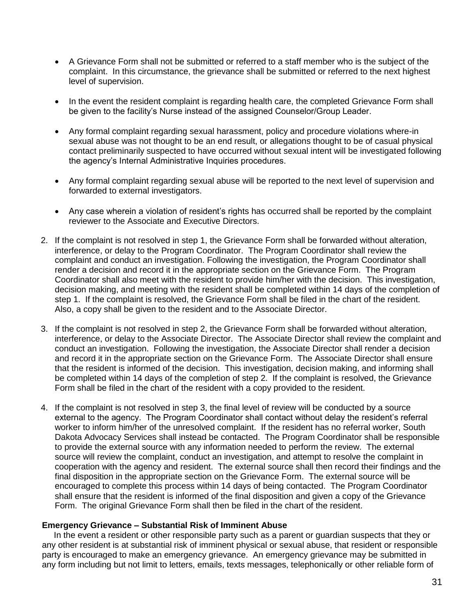- A Grievance Form shall not be submitted or referred to a staff member who is the subject of the complaint. In this circumstance, the grievance shall be submitted or referred to the next highest level of supervision.
- In the event the resident complaint is regarding health care, the completed Grievance Form shall be given to the facility's Nurse instead of the assigned Counselor/Group Leader.
- Any formal complaint regarding sexual harassment, policy and procedure violations where-in sexual abuse was not thought to be an end result, or allegations thought to be of casual physical contact preliminarily suspected to have occurred without sexual intent will be investigated following the agency's Internal Administrative Inquiries procedures.
- Any formal complaint regarding sexual abuse will be reported to the next level of supervision and forwarded to external investigators.
- Any case wherein a violation of resident's rights has occurred shall be reported by the complaint reviewer to the Associate and Executive Directors.
- 2. If the complaint is not resolved in step 1, the Grievance Form shall be forwarded without alteration, interference, or delay to the Program Coordinator. The Program Coordinator shall review the complaint and conduct an investigation. Following the investigation, the Program Coordinator shall render a decision and record it in the appropriate section on the Grievance Form. The Program Coordinator shall also meet with the resident to provide him/her with the decision. This investigation, decision making, and meeting with the resident shall be completed within 14 days of the completion of step 1. If the complaint is resolved, the Grievance Form shall be filed in the chart of the resident. Also, a copy shall be given to the resident and to the Associate Director.
- 3. If the complaint is not resolved in step 2, the Grievance Form shall be forwarded without alteration, interference, or delay to the Associate Director. The Associate Director shall review the complaint and conduct an investigation. Following the investigation, the Associate Director shall render a decision and record it in the appropriate section on the Grievance Form. The Associate Director shall ensure that the resident is informed of the decision. This investigation, decision making, and informing shall be completed within 14 days of the completion of step 2. If the complaint is resolved, the Grievance Form shall be filed in the chart of the resident with a copy provided to the resident.
- 4. If the complaint is not resolved in step 3, the final level of review will be conducted by a source external to the agency. The Program Coordinator shall contact without delay the resident's referral worker to inform him/her of the unresolved complaint. If the resident has no referral worker, South Dakota Advocacy Services shall instead be contacted. The Program Coordinator shall be responsible to provide the external source with any information needed to perform the review. The external source will review the complaint, conduct an investigation, and attempt to resolve the complaint in cooperation with the agency and resident. The external source shall then record their findings and the final disposition in the appropriate section on the Grievance Form. The external source will be encouraged to complete this process within 14 days of being contacted. The Program Coordinator shall ensure that the resident is informed of the final disposition and given a copy of the Grievance Form. The original Grievance Form shall then be filed in the chart of the resident.

#### **Emergency Grievance – Substantial Risk of Imminent Abuse**

 In the event a resident or other responsible party such as a parent or guardian suspects that they or any other resident is at substantial risk of imminent physical or sexual abuse, that resident or responsible party is encouraged to make an emergency grievance. An emergency grievance may be submitted in any form including but not limit to letters, emails, texts messages, telephonically or other reliable form of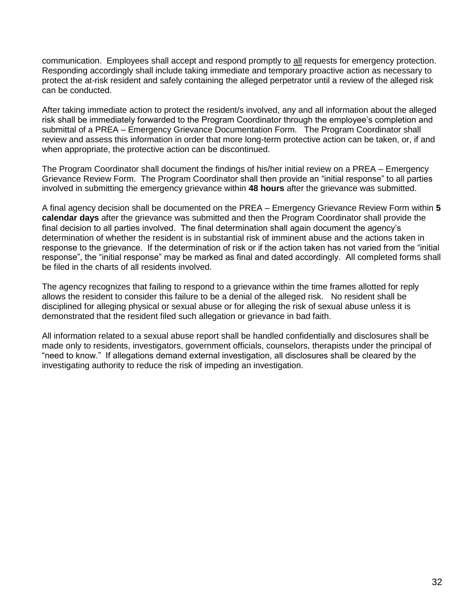communication. Employees shall accept and respond promptly to all requests for emergency protection. Responding accordingly shall include taking immediate and temporary proactive action as necessary to protect the at-risk resident and safely containing the alleged perpetrator until a review of the alleged risk can be conducted.

After taking immediate action to protect the resident/s involved, any and all information about the alleged risk shall be immediately forwarded to the Program Coordinator through the employee's completion and submittal of a PREA – Emergency Grievance Documentation Form. The Program Coordinator shall review and assess this information in order that more long-term protective action can be taken, or, if and when appropriate, the protective action can be discontinued.

The Program Coordinator shall document the findings of his/her initial review on a PREA – Emergency Grievance Review Form. The Program Coordinator shall then provide an "initial response" to all parties involved in submitting the emergency grievance within **48 hours** after the grievance was submitted.

A final agency decision shall be documented on the PREA – Emergency Grievance Review Form within **5 calendar days** after the grievance was submitted and then the Program Coordinator shall provide the final decision to all parties involved. The final determination shall again document the agency's determination of whether the resident is in substantial risk of imminent abuse and the actions taken in response to the grievance. If the determination of risk or if the action taken has not varied from the "initial response", the "initial response" may be marked as final and dated accordingly. All completed forms shall be filed in the charts of all residents involved.

The agency recognizes that failing to respond to a grievance within the time frames allotted for reply allows the resident to consider this failure to be a denial of the alleged risk. No resident shall be disciplined for alleging physical or sexual abuse or for alleging the risk of sexual abuse unless it is demonstrated that the resident filed such allegation or grievance in bad faith.

All information related to a sexual abuse report shall be handled confidentially and disclosures shall be made only to residents, investigators, government officials, counselors, therapists under the principal of "need to know." If allegations demand external investigation, all disclosures shall be cleared by the investigating authority to reduce the risk of impeding an investigation.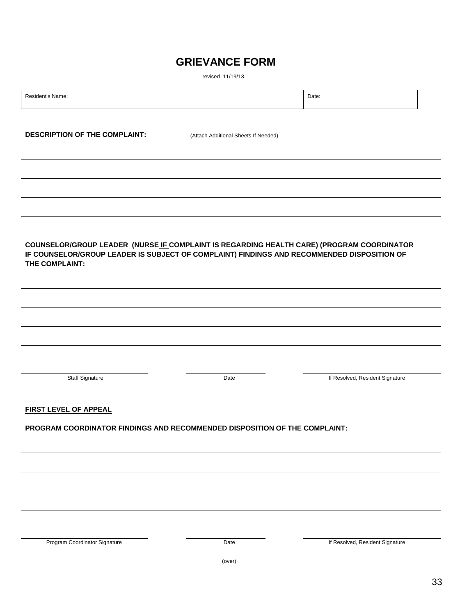# **GRIEVANCE FORM**

revised 11/19/13

| Resident's Name:                                                                           |                                      | Date:                           |
|--------------------------------------------------------------------------------------------|--------------------------------------|---------------------------------|
|                                                                                            |                                      |                                 |
| <b>DESCRIPTION OF THE COMPLAINT:</b>                                                       |                                      |                                 |
|                                                                                            | (Attach Additional Sheets If Needed) |                                 |
|                                                                                            |                                      |                                 |
|                                                                                            |                                      |                                 |
|                                                                                            |                                      |                                 |
|                                                                                            |                                      |                                 |
|                                                                                            |                                      |                                 |
|                                                                                            |                                      |                                 |
| COUNSELOR/GROUP LEADER (NURSE IF COMPLAINT IS REGARDING HEALTH CARE) (PROGRAM COORDINATOR  |                                      |                                 |
| IF COUNSELOR/GROUP LEADER IS SUBJECT OF COMPLAINT) FINDINGS AND RECOMMENDED DISPOSITION OF |                                      |                                 |
| THE COMPLAINT:                                                                             |                                      |                                 |
|                                                                                            |                                      |                                 |
|                                                                                            |                                      |                                 |
|                                                                                            |                                      |                                 |
|                                                                                            |                                      |                                 |
|                                                                                            |                                      |                                 |
|                                                                                            |                                      |                                 |
|                                                                                            |                                      |                                 |
| Staff Signature                                                                            | Date                                 | If Resolved, Resident Signature |
|                                                                                            |                                      |                                 |
| <b>FIRST LEVEL OF APPEAL</b>                                                               |                                      |                                 |
|                                                                                            |                                      |                                 |
| PROGRAM COORDINATOR FINDINGS AND RECOMMENDED DISPOSITION OF THE COMPLAINT:                 |                                      |                                 |
|                                                                                            |                                      |                                 |
|                                                                                            |                                      |                                 |
|                                                                                            |                                      |                                 |
|                                                                                            |                                      |                                 |
|                                                                                            |                                      |                                 |
|                                                                                            |                                      |                                 |
|                                                                                            |                                      |                                 |
| Program Coordinator Signature                                                              | Date                                 | If Resolved, Resident Signature |
|                                                                                            |                                      |                                 |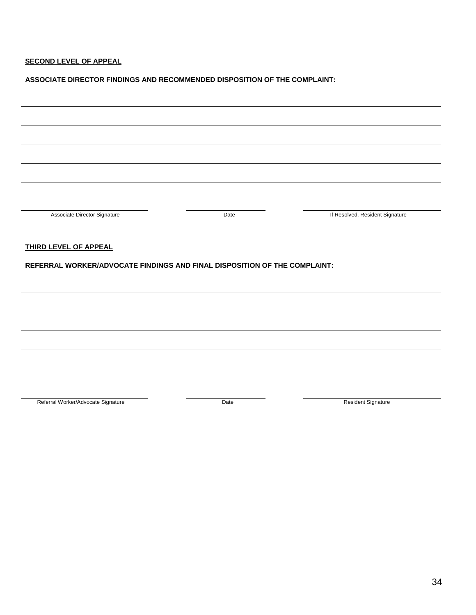# **SECOND LEVEL OF APPEAL**

#### **ASSOCIATE DIRECTOR FINDINGS AND RECOMMENDED DISPOSITION OF THE COMPLAINT:**

| Associate Director Signature                                              | Date | If Resolved, Resident Signature |  |  |
|---------------------------------------------------------------------------|------|---------------------------------|--|--|
|                                                                           |      |                                 |  |  |
| THIRD LEVEL OF APPEAL                                                     |      |                                 |  |  |
| REFERRAL WORKER/ADVOCATE FINDINGS AND FINAL DISPOSITION OF THE COMPLAINT: |      |                                 |  |  |
|                                                                           |      |                                 |  |  |
|                                                                           |      |                                 |  |  |
|                                                                           |      |                                 |  |  |
|                                                                           |      |                                 |  |  |
|                                                                           |      |                                 |  |  |
|                                                                           |      |                                 |  |  |
|                                                                           |      |                                 |  |  |
|                                                                           |      |                                 |  |  |
|                                                                           |      |                                 |  |  |

Referral Worker/Advocate Signature **Networker Advocate Signature** Date **Resident Signature** Resident Signature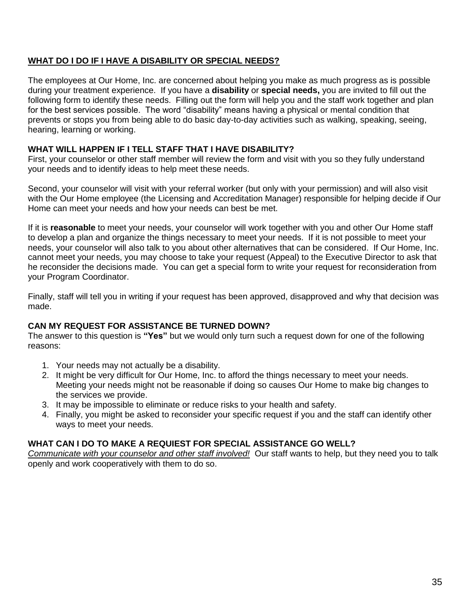# **WHAT DO I DO IF I HAVE A DISABILITY OR SPECIAL NEEDS?**

The employees at Our Home, Inc. are concerned about helping you make as much progress as is possible during your treatment experience. If you have a **disability** or **special needs,** you are invited to fill out the following form to identify these needs. Filling out the form will help you and the staff work together and plan for the best services possible. The word "disability" means having a physical or mental condition that prevents or stops you from being able to do basic day-to-day activities such as walking, speaking, seeing, hearing, learning or working.

# **WHAT WILL HAPPEN IF I TELL STAFF THAT I HAVE DISABILITY?**

First, your counselor or other staff member will review the form and visit with you so they fully understand your needs and to identify ideas to help meet these needs.

Second, your counselor will visit with your referral worker (but only with your permission) and will also visit with the Our Home employee (the Licensing and Accreditation Manager) responsible for helping decide if Our Home can meet your needs and how your needs can best be met.

If it is **reasonable** to meet your needs, your counselor will work together with you and other Our Home staff to develop a plan and organize the things necessary to meet your needs. If it is not possible to meet your needs, your counselor will also talk to you about other alternatives that can be considered. If Our Home, Inc. cannot meet your needs, you may choose to take your request (Appeal) to the Executive Director to ask that he reconsider the decisions made. You can get a special form to write your request for reconsideration from your Program Coordinator.

Finally, staff will tell you in writing if your request has been approved, disapproved and why that decision was made.

## **CAN MY REQUEST FOR ASSISTANCE BE TURNED DOWN?**

The answer to this question is **"Yes"** but we would only turn such a request down for one of the following reasons:

- 1. Your needs may not actually be a disability.
- 2. It might be very difficult for Our Home, Inc. to afford the things necessary to meet your needs. Meeting your needs might not be reasonable if doing so causes Our Home to make big changes to the services we provide.
- 3. It may be impossible to eliminate or reduce risks to your health and safety.
- 4. Finally, you might be asked to reconsider your specific request if you and the staff can identify other ways to meet your needs.

# **WHAT CAN I DO TO MAKE A REQUIEST FOR SPECIAL ASSISTANCE GO WELL?**

*Communicate with your counselor and other staff involved!*Our staff wants to help, but they need you to talk openly and work cooperatively with them to do so.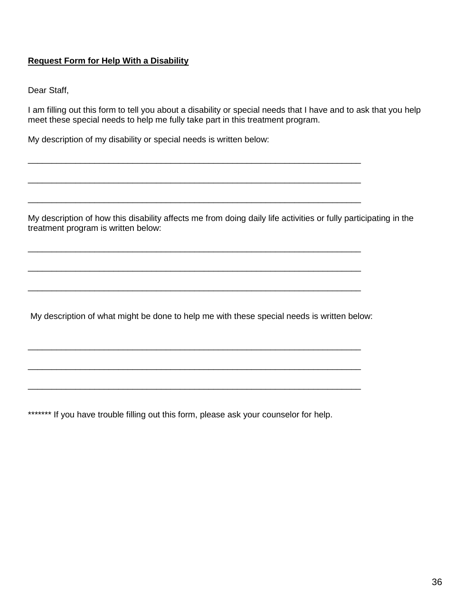# **Request Form for Help With a Disability**

Dear Staff,

I am filling out this form to tell you about a disability or special needs that I have and to ask that you help meet these special needs to help me fully take part in this treatment program.

\_\_\_\_\_\_\_\_\_\_\_\_\_\_\_\_\_\_\_\_\_\_\_\_\_\_\_\_\_\_\_\_\_\_\_\_\_\_\_\_\_\_\_\_\_\_\_\_\_\_\_\_\_\_\_\_\_\_\_\_\_\_\_\_\_\_\_\_\_\_

\_\_\_\_\_\_\_\_\_\_\_\_\_\_\_\_\_\_\_\_\_\_\_\_\_\_\_\_\_\_\_\_\_\_\_\_\_\_\_\_\_\_\_\_\_\_\_\_\_\_\_\_\_\_\_\_\_\_\_\_\_\_\_\_\_\_\_\_\_\_

\_\_\_\_\_\_\_\_\_\_\_\_\_\_\_\_\_\_\_\_\_\_\_\_\_\_\_\_\_\_\_\_\_\_\_\_\_\_\_\_\_\_\_\_\_\_\_\_\_\_\_\_\_\_\_\_\_\_\_\_\_\_\_\_\_\_\_\_\_\_

\_\_\_\_\_\_\_\_\_\_\_\_\_\_\_\_\_\_\_\_\_\_\_\_\_\_\_\_\_\_\_\_\_\_\_\_\_\_\_\_\_\_\_\_\_\_\_\_\_\_\_\_\_\_\_\_\_\_\_\_\_\_\_\_\_\_\_\_\_\_

\_\_\_\_\_\_\_\_\_\_\_\_\_\_\_\_\_\_\_\_\_\_\_\_\_\_\_\_\_\_\_\_\_\_\_\_\_\_\_\_\_\_\_\_\_\_\_\_\_\_\_\_\_\_\_\_\_\_\_\_\_\_\_\_\_\_\_\_\_\_

\_\_\_\_\_\_\_\_\_\_\_\_\_\_\_\_\_\_\_\_\_\_\_\_\_\_\_\_\_\_\_\_\_\_\_\_\_\_\_\_\_\_\_\_\_\_\_\_\_\_\_\_\_\_\_\_\_\_\_\_\_\_\_\_\_\_\_\_\_\_

\_\_\_\_\_\_\_\_\_\_\_\_\_\_\_\_\_\_\_\_\_\_\_\_\_\_\_\_\_\_\_\_\_\_\_\_\_\_\_\_\_\_\_\_\_\_\_\_\_\_\_\_\_\_\_\_\_\_\_\_\_\_\_\_\_\_\_\_\_\_

\_\_\_\_\_\_\_\_\_\_\_\_\_\_\_\_\_\_\_\_\_\_\_\_\_\_\_\_\_\_\_\_\_\_\_\_\_\_\_\_\_\_\_\_\_\_\_\_\_\_\_\_\_\_\_\_\_\_\_\_\_\_\_\_\_\_\_\_\_\_

\_\_\_\_\_\_\_\_\_\_\_\_\_\_\_\_\_\_\_\_\_\_\_\_\_\_\_\_\_\_\_\_\_\_\_\_\_\_\_\_\_\_\_\_\_\_\_\_\_\_\_\_\_\_\_\_\_\_\_\_\_\_\_\_\_\_\_\_\_\_

My description of my disability or special needs is written below:

My description of how this disability affects me from doing daily life activities or fully participating in the treatment program is written below:

My description of what might be done to help me with these special needs is written below:

\*\*\*\*\*\*\* If you have trouble filling out this form, please ask your counselor for help.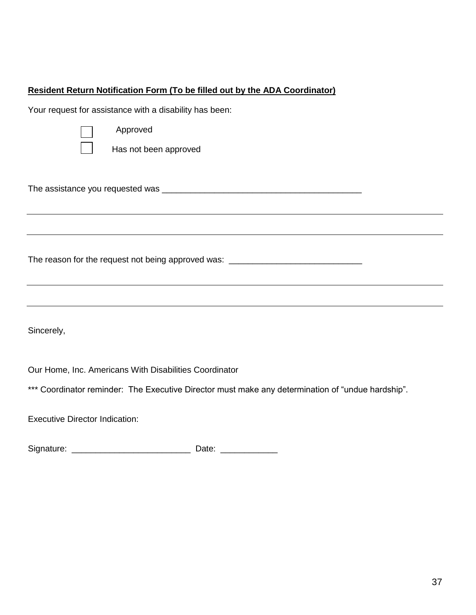# **Resident Return Notification Form (To be filled out by the ADA Coordinator)**

Your request for assistance with a disability has been:



Approved

Has not been approved

The assistance you requested was \_\_\_\_\_\_\_\_\_\_\_\_\_\_\_\_\_\_\_\_\_\_\_\_\_\_\_\_\_\_\_\_\_\_\_\_\_\_\_\_\_\_

The reason for the request not being approved was: \_\_\_\_\_\_\_\_\_\_\_\_\_\_\_\_\_\_\_\_\_\_\_\_\_\_\_\_\_

Sincerely,

Our Home, Inc. Americans With Disabilities Coordinator

\*\*\* Coordinator reminder: The Executive Director must make any determination of "undue hardship".

Executive Director Indication:

Signature: \_\_\_\_\_\_\_\_\_\_\_\_\_\_\_\_\_\_\_\_\_\_\_\_\_ Date: \_\_\_\_\_\_\_\_\_\_\_\_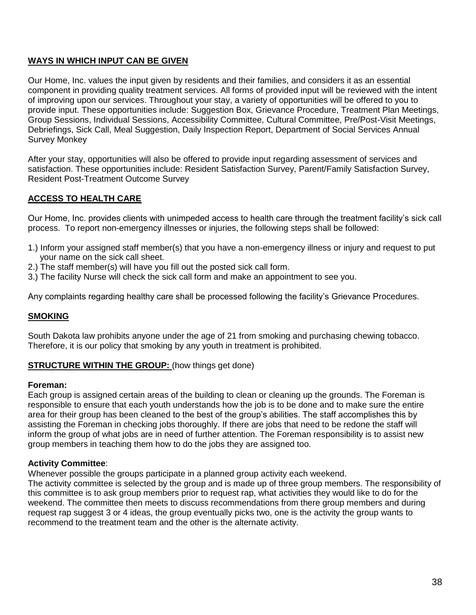# **WAYS IN WHICH INPUT CAN BE GIVEN**

Our Home, Inc. values the input given by residents and their families, and considers it as an essential component in providing quality treatment services. All forms of provided input will be reviewed with the intent of improving upon our services. Throughout your stay, a variety of opportunities will be offered to you to provide input. These opportunities include: Suggestion Box, Grievance Procedure, Treatment Plan Meetings, Group Sessions, Individual Sessions, Accessibility Committee, Cultural Committee, Pre/Post-Visit Meetings, Debriefings, Sick Call, Meal Suggestion, Daily Inspection Report, Department of Social Services Annual Survey Monkey

After your stay, opportunities will also be offered to provide input regarding assessment of services and satisfaction. These opportunities include: Resident Satisfaction Survey, Parent/Family Satisfaction Survey, Resident Post-Treatment Outcome Survey

# **ACCESS TO HEALTH CARE**

Our Home, Inc. provides clients with unimpeded access to health care through the treatment facility's sick call process. To report non-emergency illnesses or injuries, the following steps shall be followed:

- 1.) Inform your assigned staff member(s) that you have a non-emergency illness or injury and request to put your name on the sick call sheet.
- 2.) The staff member(s) will have you fill out the posted sick call form.
- 3.) The facility Nurse will check the sick call form and make an appointment to see you.

Any complaints regarding healthy care shall be processed following the facility's Grievance Procedures.

#### **SMOKING**

South Dakota law prohibits anyone under the age of 21 from smoking and purchasing chewing tobacco. Therefore, it is our policy that smoking by any youth in treatment is prohibited.

#### **STRUCTURE WITHIN THE GROUP:** (how things get done)

#### **Foreman:**

Each group is assigned certain areas of the building to clean or cleaning up the grounds. The Foreman is responsible to ensure that each youth understands how the job is to be done and to make sure the entire area for their group has been cleaned to the best of the group's abilities. The staff accomplishes this by assisting the Foreman in checking jobs thoroughly. If there are jobs that need to be redone the staff will inform the group of what jobs are in need of further attention. The Foreman responsibility is to assist new group members in teaching them how to do the jobs they are assigned too.

#### **Activity Committee**:

Whenever possible the groups participate in a planned group activity each weekend.

The activity committee is selected by the group and is made up of three group members. The responsibility of this committee is to ask group members prior to request rap, what activities they would like to do for the weekend. The committee then meets to discuss recommendations from there group members and during request rap suggest 3 or 4 ideas, the group eventually picks two, one is the activity the group wants to recommend to the treatment team and the other is the alternate activity.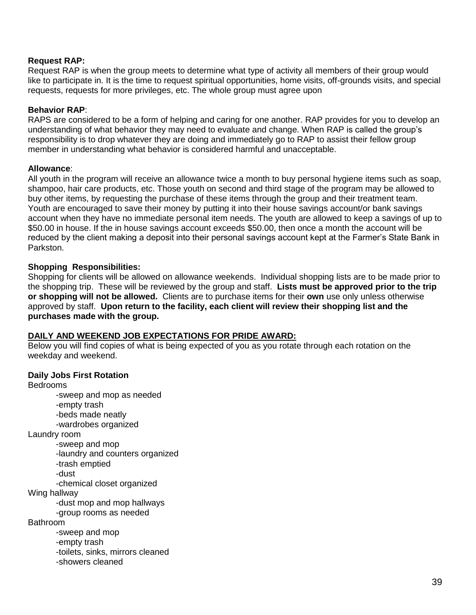#### **Request RAP:**

Request RAP is when the group meets to determine what type of activity all members of their group would like to participate in. It is the time to request spiritual opportunities, home visits, off-grounds visits, and special requests, requests for more privileges, etc. The whole group must agree upon

#### **Behavior RAP**:

RAPS are considered to be a form of helping and caring for one another. RAP provides for you to develop an understanding of what behavior they may need to evaluate and change. When RAP is called the group's responsibility is to drop whatever they are doing and immediately go to RAP to assist their fellow group member in understanding what behavior is considered harmful and unacceptable.

#### **Allowance**:

All youth in the program will receive an allowance twice a month to buy personal hygiene items such as soap, shampoo, hair care products, etc. Those youth on second and third stage of the program may be allowed to buy other items, by requesting the purchase of these items through the group and their treatment team. Youth are encouraged to save their money by putting it into their house savings account/or bank savings account when they have no immediate personal item needs. The youth are allowed to keep a savings of up to \$50.00 in house. If the in house savings account exceeds \$50.00, then once a month the account will be reduced by the client making a deposit into their personal savings account kept at the Farmer's State Bank in Parkston.

#### **Shopping Responsibilities:**

Shopping for clients will be allowed on allowance weekends. Individual shopping lists are to be made prior to the shopping trip. These will be reviewed by the group and staff. **Lists must be approved prior to the trip or shopping will not be allowed.** Clients are to purchase items for their **own** use only unless otherwise approved by staff. **Upon return to the facility, each client will review their shopping list and the purchases made with the group.**

#### **DAILY AND WEEKEND JOB EXPECTATIONS FOR PRIDE AWARD:**

Below you will find copies of what is being expected of you as you rotate through each rotation on the weekday and weekend.

#### **Daily Jobs First Rotation**

Bedrooms -sweep and mop as needed -empty trash -beds made neatly -wardrobes organized Laundry room -sweep and mop -laundry and counters organized -trash emptied -dust -chemical closet organized Wing hallway -dust mop and mop hallways -group rooms as needed Bathroom -sweep and mop -empty trash -toilets, sinks, mirrors cleaned -showers cleaned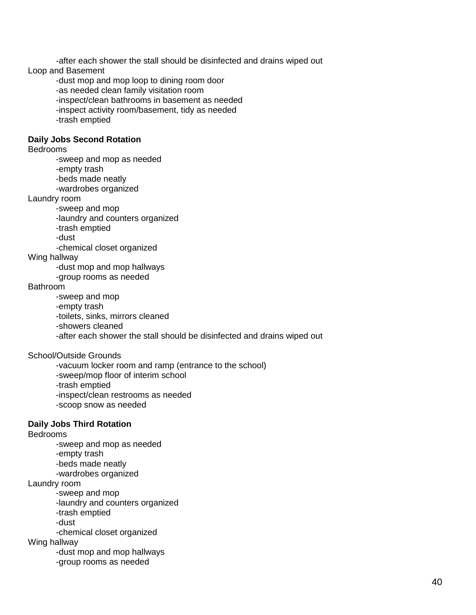-after each shower the stall should be disinfected and drains wiped out Loop and Basement -dust mop and mop loop to dining room door -as needed clean family visitation room -inspect/clean bathrooms in basement as needed -inspect activity room/basement, tidy as needed -trash emptied **Daily Jobs Second Rotation** Bedrooms -sweep and mop as needed -empty trash -beds made neatly -wardrobes organized Laundry room -sweep and mop -laundry and counters organized -trash emptied -dust -chemical closet organized Wing hallway -dust mop and mop hallways -group rooms as needed Bathroom -sweep and mop -empty trash -toilets, sinks, mirrors cleaned -showers cleaned -after each shower the stall should be disinfected and drains wiped out School/Outside Grounds -vacuum locker room and ramp (entrance to the school) -sweep/mop floor of interim school -trash emptied -inspect/clean restrooms as needed -scoop snow as needed **Daily Jobs Third Rotation** Bedrooms -sweep and mop as needed -empty trash -beds made neatly -wardrobes organized Laundry room -sweep and mop -laundry and counters organized -trash emptied -dust -chemical closet organized Wing hallway

> -dust mop and mop hallways -group rooms as needed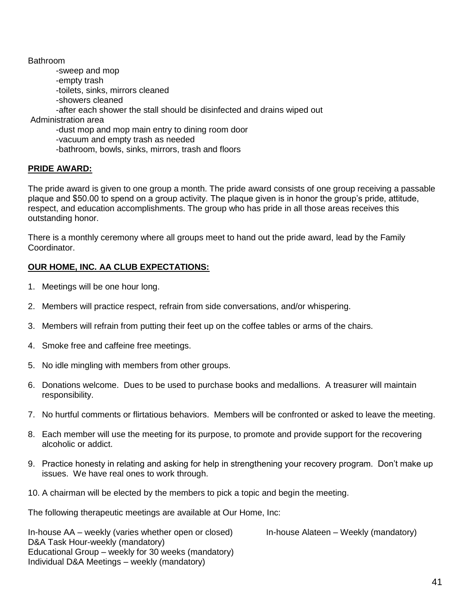Bathroom -sweep and mop -empty trash -toilets, sinks, mirrors cleaned -showers cleaned -after each shower the stall should be disinfected and drains wiped out Administration area -dust mop and mop main entry to dining room door -vacuum and empty trash as needed -bathroom, bowls, sinks, mirrors, trash and floors

#### **PRIDE AWARD:**

The pride award is given to one group a month. The pride award consists of one group receiving a passable plaque and \$50.00 to spend on a group activity. The plaque given is in honor the group's pride, attitude, respect, and education accomplishments. The group who has pride in all those areas receives this outstanding honor.

There is a monthly ceremony where all groups meet to hand out the pride award, lead by the Family Coordinator.

# **OUR HOME, INC. AA CLUB EXPECTATIONS:**

- 1. Meetings will be one hour long.
- 2. Members will practice respect, refrain from side conversations, and/or whispering.
- 3. Members will refrain from putting their feet up on the coffee tables or arms of the chairs.
- 4. Smoke free and caffeine free meetings.
- 5. No idle mingling with members from other groups.
- 6. Donations welcome. Dues to be used to purchase books and medallions. A treasurer will maintain responsibility.
- 7. No hurtful comments or flirtatious behaviors. Members will be confronted or asked to leave the meeting.
- 8. Each member will use the meeting for its purpose, to promote and provide support for the recovering alcoholic or addict.
- 9. Practice honesty in relating and asking for help in strengthening your recovery program. Don't make up issues. We have real ones to work through.
- 10. A chairman will be elected by the members to pick a topic and begin the meeting.

The following therapeutic meetings are available at Our Home, Inc:

In-house AA – weekly (varies whether open or closed) In-house Alateen – Weekly (mandatory) D&A Task Hour-weekly (mandatory) Educational Group – weekly for 30 weeks (mandatory) Individual D&A Meetings – weekly (mandatory)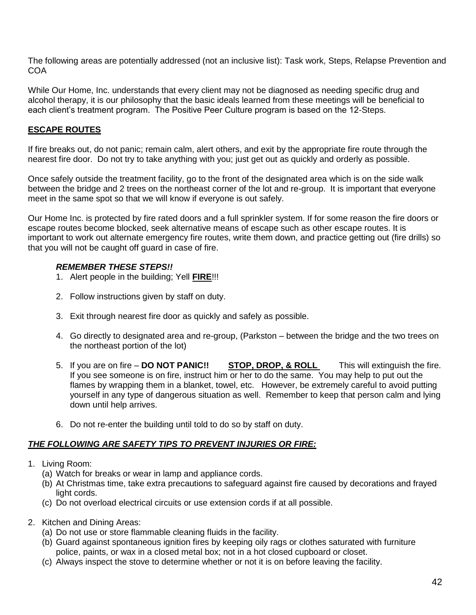The following areas are potentially addressed (not an inclusive list): Task work, Steps, Relapse Prevention and **COA** 

While Our Home, Inc. understands that every client may not be diagnosed as needing specific drug and alcohol therapy, it is our philosophy that the basic ideals learned from these meetings will be beneficial to each client's treatment program. The Positive Peer Culture program is based on the 12-Steps.

# **ESCAPE ROUTES**

If fire breaks out, do not panic; remain calm, alert others, and exit by the appropriate fire route through the nearest fire door. Do not try to take anything with you; just get out as quickly and orderly as possible.

Once safely outside the treatment facility, go to the front of the designated area which is on the side walk between the bridge and 2 trees on the northeast corner of the lot and re-group. It is important that everyone meet in the same spot so that we will know if everyone is out safely.

Our Home Inc. is protected by fire rated doors and a full sprinkler system. If for some reason the fire doors or escape routes become blocked, seek alternative means of escape such as other escape routes. It is important to work out alternate emergency fire routes, write them down, and practice getting out (fire drills) so that you will not be caught off guard in case of fire.

# *REMEMBER THESE STEPS!!*

- 1. Alert people in the building; Yell **FIRE**!!!
- 2. Follow instructions given by staff on duty.
- 3. Exit through nearest fire door as quickly and safely as possible.
- 4. Go directly to designated area and re-group, (Parkston between the bridge and the two trees on the northeast portion of the lot)
- 5. If you are on fire **DO NOT PANIC!! STOP, DROP, & ROLL** This will extinguish the fire. If you see someone is on fire, instruct him or her to do the same. You may help to put out the flames by wrapping them in a blanket, towel, etc. However, be extremely careful to avoid putting yourself in any type of dangerous situation as well. Remember to keep that person calm and lying down until help arrives.
- 6. Do not re-enter the building until told to do so by staff on duty.

# *THE FOLLOWING ARE SAFETY TIPS TO PREVENT INJURIES OR FIRE:*

- 1. Living Room:
	- (a) Watch for breaks or wear in lamp and appliance cords.
	- (b) At Christmas time, take extra precautions to safeguard against fire caused by decorations and frayed light cords.
	- (c) Do not overload electrical circuits or use extension cords if at all possible.
- 2. Kitchen and Dining Areas:
	- (a) Do not use or store flammable cleaning fluids in the facility.
	- (b) Guard against spontaneous ignition fires by keeping oily rags or clothes saturated with furniture police, paints, or wax in a closed metal box; not in a hot closed cupboard or closet.
	- (c) Always inspect the stove to determine whether or not it is on before leaving the facility.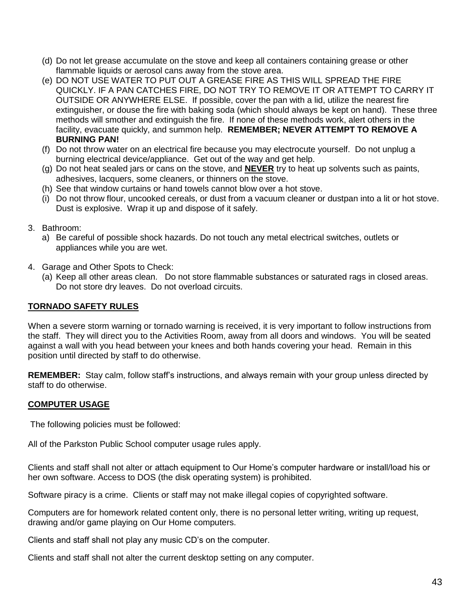- (d) Do not let grease accumulate on the stove and keep all containers containing grease or other flammable liquids or aerosol cans away from the stove area.
- (e) DO NOT USE WATER TO PUT OUT A GREASE FIRE AS THIS WILL SPREAD THE FIRE QUICKLY. IF A PAN CATCHES FIRE, DO NOT TRY TO REMOVE IT OR ATTEMPT TO CARRY IT OUTSIDE OR ANYWHERE ELSE. If possible, cover the pan with a lid, utilize the nearest fire extinguisher, or douse the fire with baking soda (which should always be kept on hand). These three methods will smother and extinguish the fire. If none of these methods work, alert others in the facility, evacuate quickly, and summon help. **REMEMBER; NEVER ATTEMPT TO REMOVE A BURNING PAN!**
- (f) Do not throw water on an electrical fire because you may electrocute yourself. Do not unplug a burning electrical device/appliance. Get out of the way and get help.
- (g) Do not heat sealed jars or cans on the stove, and **NEVER** try to heat up solvents such as paints, adhesives, lacquers, some cleaners, or thinners on the stove.
- (h) See that window curtains or hand towels cannot blow over a hot stove.
- (i) Do not throw flour, uncooked cereals, or dust from a vacuum cleaner or dustpan into a lit or hot stove. Dust is explosive. Wrap it up and dispose of it safely.
- 3. Bathroom:
	- a) Be careful of possible shock hazards. Do not touch any metal electrical switches, outlets or appliances while you are wet.
- 4. Garage and Other Spots to Check:
	- (a) Keep all other areas clean. Do not store flammable substances or saturated rags in closed areas. Do not store dry leaves. Do not overload circuits.

# **TORNADO SAFETY RULES**

When a severe storm warning or tornado warning is received, it is very important to follow instructions from the staff. They will direct you to the Activities Room, away from all doors and windows. You will be seated against a wall with you head between your knees and both hands covering your head. Remain in this position until directed by staff to do otherwise.

**REMEMBER:** Stay calm, follow staff's instructions, and always remain with your group unless directed by staff to do otherwise.

#### **COMPUTER USAGE**

The following policies must be followed:

All of the Parkston Public School computer usage rules apply.

Clients and staff shall not alter or attach equipment to Our Home's computer hardware or install/load his or her own software. Access to DOS (the disk operating system) is prohibited.

Software piracy is a crime. Clients or staff may not make illegal copies of copyrighted software.

Computers are for homework related content only, there is no personal letter writing, writing up request, drawing and/or game playing on Our Home computers.

Clients and staff shall not play any music CD's on the computer.

Clients and staff shall not alter the current desktop setting on any computer.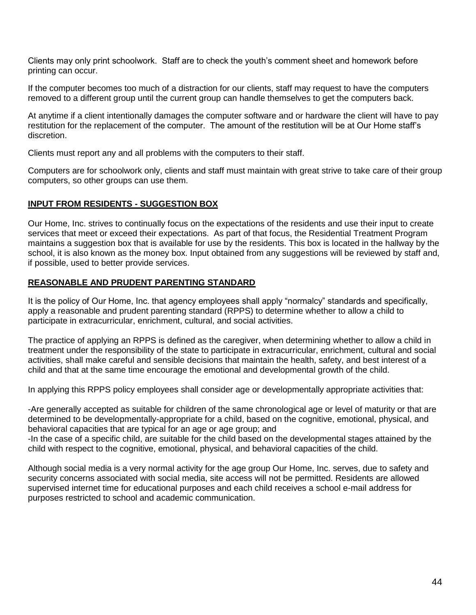Clients may only print schoolwork. Staff are to check the youth's comment sheet and homework before printing can occur.

If the computer becomes too much of a distraction for our clients, staff may request to have the computers removed to a different group until the current group can handle themselves to get the computers back.

At anytime if a client intentionally damages the computer software and or hardware the client will have to pay restitution for the replacement of the computer. The amount of the restitution will be at Our Home staff's discretion.

Clients must report any and all problems with the computers to their staff.

Computers are for schoolwork only, clients and staff must maintain with great strive to take care of their group computers, so other groups can use them.

#### **INPUT FROM RESIDENTS - SUGGESTION BOX**

Our Home, Inc. strives to continually focus on the expectations of the residents and use their input to create services that meet or exceed their expectations. As part of that focus, the Residential Treatment Program maintains a suggestion box that is available for use by the residents. This box is located in the hallway by the school, it is also known as the money box. Input obtained from any suggestions will be reviewed by staff and, if possible, used to better provide services.

#### **REASONABLE AND PRUDENT PARENTING STANDARD**

It is the policy of Our Home, Inc. that agency employees shall apply "normalcy" standards and specifically, apply a reasonable and prudent parenting standard (RPPS) to determine whether to allow a child to participate in extracurricular, enrichment, cultural, and social activities.

The practice of applying an RPPS is defined as the caregiver, when determining whether to allow a child in treatment under the responsibility of the state to participate in extracurricular, enrichment, cultural and social activities, shall make careful and sensible decisions that maintain the health, safety, and best interest of a child and that at the same time encourage the emotional and developmental growth of the child.

In applying this RPPS policy employees shall consider age or developmentally appropriate activities that:

-Are generally accepted as suitable for children of the same chronological age or level of maturity or that are determined to be developmentally-appropriate for a child, based on the cognitive, emotional, physical, and behavioral capacities that are typical for an age or age group; and

-In the case of a specific child, are suitable for the child based on the developmental stages attained by the child with respect to the cognitive, emotional, physical, and behavioral capacities of the child.

Although social media is a very normal activity for the age group Our Home, Inc. serves, due to safety and security concerns associated with social media, site access will not be permitted. Residents are allowed supervised internet time for educational purposes and each child receives a school e-mail address for purposes restricted to school and academic communication.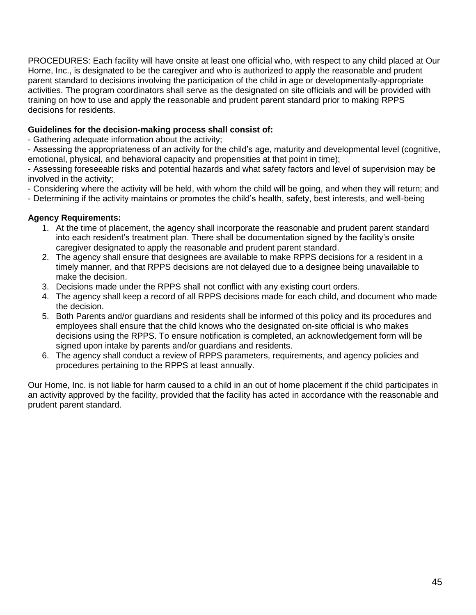PROCEDURES: Each facility will have onsite at least one official who, with respect to any child placed at Our Home, Inc., is designated to be the caregiver and who is authorized to apply the reasonable and prudent parent standard to decisions involving the participation of the child in age or developmentally-appropriate activities. The program coordinators shall serve as the designated on site officials and will be provided with training on how to use and apply the reasonable and prudent parent standard prior to making RPPS decisions for residents.

# **Guidelines for the decision-making process shall consist of:**

- Gathering adequate information about the activity;

- Assessing the appropriateness of an activity for the child's age, maturity and developmental level (cognitive, emotional, physical, and behavioral capacity and propensities at that point in time);

- Assessing foreseeable risks and potential hazards and what safety factors and level of supervision may be involved in the activity;

- Considering where the activity will be held, with whom the child will be going, and when they will return; and

- Determining if the activity maintains or promotes the child's health, safety, best interests, and well-being

# **Agency Requirements:**

- 1. At the time of placement, the agency shall incorporate the reasonable and prudent parent standard into each resident's treatment plan. There shall be documentation signed by the facility's onsite caregiver designated to apply the reasonable and prudent parent standard.
- 2. The agency shall ensure that designees are available to make RPPS decisions for a resident in a timely manner, and that RPPS decisions are not delayed due to a designee being unavailable to make the decision.
- 3. Decisions made under the RPPS shall not conflict with any existing court orders.
- 4. The agency shall keep a record of all RPPS decisions made for each child, and document who made the decision.
- 5. Both Parents and/or guardians and residents shall be informed of this policy and its procedures and employees shall ensure that the child knows who the designated on-site official is who makes decisions using the RPPS. To ensure notification is completed, an acknowledgement form will be signed upon intake by parents and/or guardians and residents.
- 6. The agency shall conduct a review of RPPS parameters, requirements, and agency policies and procedures pertaining to the RPPS at least annually.

Our Home, Inc. is not liable for harm caused to a child in an out of home placement if the child participates in an activity approved by the facility, provided that the facility has acted in accordance with the reasonable and prudent parent standard.